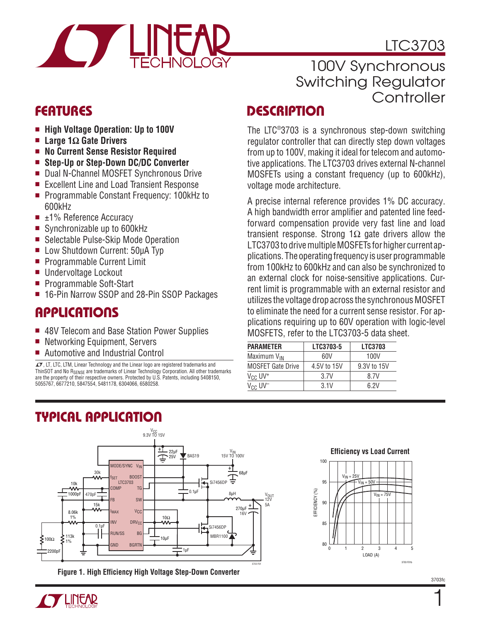# LTC3703



100V Synchronous Switching Regulator **Controller** 

### Features

- High Voltage Operation: Up to 100V
- <sup>n</sup> **Large 1Ω Gate Drivers**
- <sup>n</sup> **No Current Sense Resistor Required**
- Step-Up or Step-Down DC/DC Converter
- Dual N-Channel MOSFET Synchronous Drive
- Excellent Line and Load Transient Response
- Programmable Constant Frequency: 100kHz to 600kHz
- $\blacksquare$   $\pm$ 1% Reference Accuracy
- Synchronizable up to 600kHz
- Selectable Pulse-Skip Mode Operation
- Low Shutdown Current: 50µA Typ
- Programmable Current Limit
- Undervoltage Lockout
- Programmable Soft-Start
- 16-Pin Narrow SSOP and 28-Pin SSOP Packages

### **APPLICATIONS**

- 48V Telecom and Base Station Power Supplies
- Networking Equipment, Servers
- **E** Automotive and Industrial Control

 $\overline{\mathcal{L}}$ , LT, LTC, LTM, Linear Technology and the Linear logo are registered trademarks and ThinSOT and No R<sub>SENSE</sub> are trademarks of Linear Technology Corporation. All other trademarks<br>are the property of their respective owners. Protected by U.S. Patents, including 5408150, 5055767, 6677210, 5847554, 5481178, 6304066, 6580258.

# Typical Application



**Figure 1. High Efficiency High Voltage Step-Down Converter**

# **DESCRIPTION**

The LTC®3703 is a synchronous step-down switching regulator controller that can directly step down voltages from up to 100V, making it ideal for telecom and automotive applications. The LTC3703 drives external N-channel MOSFETs using a constant frequency (up to 600kHz), voltage mode architecture.

A precise internal reference provides 1% DC accuracy. A high bandwidth error amplifier and patented line feedforward compensation provide very fast line and load transient response. Strong  $1\Omega$  gate drivers allow the LTC3703 to drive multiple MOSFETs for higher current applications. The operating frequency is user programmable from 100kHz to 600kHz and can also be synchronized to an external clock for noise-sensitive applications. Current limit is programmable with an external resistor and utilizes the voltage drop across the synchronous MOSFET to eliminate the need for a current sense resistor. For applications requiring up to 60V operation with logic-level MOSFETS, refer to the LTC3703-5 data sheet.

| <b>PARAMETER</b>                | LTC3703-5   | <b>LTC3703</b> |
|---------------------------------|-------------|----------------|
| Maximum V <sub>IN</sub>         | 60V         | 100V           |
| <b>MOSFET Gate Drive</b>        | 4.5V to 15V | 9.3V to 15V    |
| V <sub>CC</sub> UV <sup>+</sup> | 3.7V        | 8.7V           |
| $V_{CC}$ UV <sup>-1</sup>       | 3.1V        | 6 2V           |



1

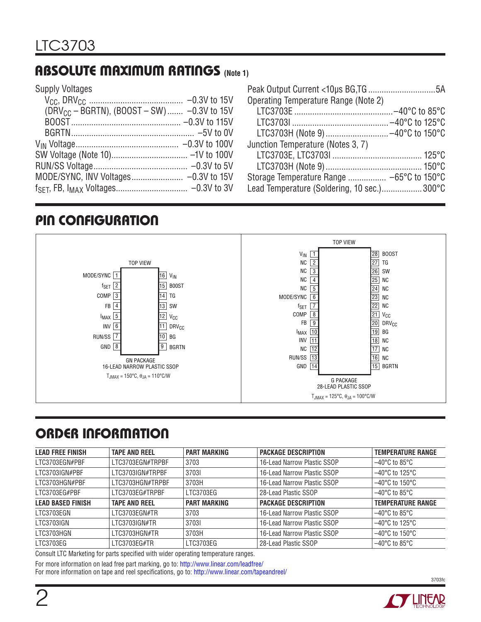### Absolute Maximum Ratings **(Note 1)**

Supply Voltages

| $(DRV_{CC} - BGRTN)$ , $(BOOST - SW)$ -0.3V to 15V |  |
|----------------------------------------------------|--|
|                                                    |  |
|                                                    |  |
|                                                    |  |
|                                                    |  |
|                                                    |  |
|                                                    |  |
|                                                    |  |
|                                                    |  |

| Operating Temperature Range (Note 2)        |  |
|---------------------------------------------|--|
|                                             |  |
|                                             |  |
| LTC3703H (Note 9) -40°C to 150°C            |  |
| Junction Temperature (Notes 3, 7)           |  |
|                                             |  |
|                                             |  |
|                                             |  |
| Lead Temperature (Soldering, 10 sec.) 300°C |  |

# Pin Configuration



# ORDER INFORMATION

| <b>LEAD FREE FINISH</b>  | <b>TAPE AND REEL</b> | <b>PART MARKING</b> | <b>PACKAGE DESCRIPTION</b>  | <b>TEMPERATURE RANGE</b>            |
|--------------------------|----------------------|---------------------|-----------------------------|-------------------------------------|
| LTC3703EGN#PBF           | LTC3703EGN#TRPBF     | 3703                | 16-Lead Narrow Plastic SSOP | $-40^{\circ}$ C to 85 $^{\circ}$ C  |
| LTC3703IGN#PBF           | LTC3703IGN#TRPBF     | 37031               | 16-Lead Narrow Plastic SSOP | $-40^{\circ}$ C to 125 $^{\circ}$ C |
| LTC3703HGN#PBF           | LTC3703HGN#TRPBF     | 3703H               | 16-Lead Narrow Plastic SSOP | $-40^{\circ}$ C to 150 $^{\circ}$ C |
| LTC3703EG#PBF            | LTC3703EG#TRPBF      | LTC3703EG           | 28-Lead Plastic SSOP        | $-40^{\circ}$ C to 85 $^{\circ}$ C  |
| <b>LEAD BASED FINISH</b> | <b>TAPE AND REEL</b> | <b>PART MARKING</b> | <b>PACKAGE DESCRIPTION</b>  | <b>TEMPERATURE RANGE</b>            |
| LTC3703EGN               | LTC3703EGN#TR        | 3703                | 16-Lead Narrow Plastic SSOP | $-40^{\circ}$ C to 85 $^{\circ}$ C  |
| LTC3703IGN               | LTC3703IGN#TR        | 37031               | 16-Lead Narrow Plastic SSOP | $-40^{\circ}$ C to 125 $^{\circ}$ C |
| LTC3703HGN               | LTC3703HGN#TR        | 3703H               | 16-Lead Narrow Plastic SSOP | $-40^{\circ}$ C to 150 $^{\circ}$ C |
| LTC3703EG                | LTC3703EG#TR         | LTC3703EG           | 28-Lead Plastic SSOP        | $-40^{\circ}$ C to 85 $^{\circ}$ C  |

Consult LTC Marketing for parts specified with wider operating temperature ranges.

For more information on lead free part marking, go to: http://www.linear.com/leadfree/

For more information on tape and reel specifications, go to: http://www.linear.com/tapeandreel/

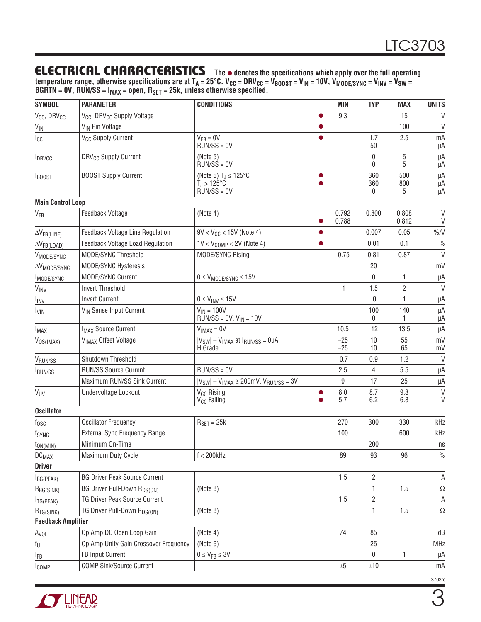### **ELECTRICAL CHARACTERISTICS** The  $\bullet$  denotes the specifications which apply over the full operating

temperature range, otherwise specifications are at T<sub>A</sub> = 25°C. V<sub>CC</sub> = DRV<sub>CC</sub> = V<sub>BOOST</sub> = V<sub>IN</sub> = 10V, V<sub>MODE/SYNC</sub> = V<sub>INV</sub> = V<sub>SW</sub> = BGRTN = 0V, RUN/SS = I<sub>MAX</sub> = open, R<sub>SET</sub> = 25k, unless otherwise specified.

| <b>SYMBOL</b>                       | <b>PARAMETER</b>                                   | <b>CONDITIONS</b>                                                   |           | <b>MIN</b>     | <b>TYP</b>              | <b>MAX</b>      | <b>UNITS</b>   |
|-------------------------------------|----------------------------------------------------|---------------------------------------------------------------------|-----------|----------------|-------------------------|-----------------|----------------|
| V <sub>CC</sub> , DRV <sub>CC</sub> | V <sub>CC</sub> , DRV <sub>CC</sub> Supply Voltage |                                                                     |           | 9.3            |                         | 15              | $\vee$         |
| $V_{IN}$                            | V <sub>IN</sub> Pin Voltage                        |                                                                     |           |                |                         | 100             | $\vee$         |
| Icc                                 | V <sub>CC</sub> Supply Current                     | $V_{FB} = 0V$<br>$RUN/SS = 0V$                                      |           |                | 1.7<br>50               | 2.5             | mA<br>μA       |
| IDRVCC                              | DRV <sub>CC</sub> Supply Current                   | (Note 5)<br>$\angle$ RUN/SS = 0V                                    |           |                | 0<br>0                  | 5<br>5          | μA<br>μA       |
| <b>BOOST</b>                        | <b>BOOST Supply Current</b>                        | (Note 5) $T_J \le 125^{\circ}C$<br>$T_J > 125$ °C<br>$RUN/SS = 0V$  | $\bullet$ |                | 360<br>360<br>0         | 500<br>800<br>5 | μA<br>μA<br>μA |
| <b>Main Control Loop</b>            |                                                    |                                                                     |           |                |                         |                 |                |
| <b>V<sub>FB</sub></b>               | Feedback Voltage                                   | (Note 4)                                                            |           | 0.792<br>0.788 | 0.800                   | 0.808<br>0.812  | V<br>V         |
| $\Delta V_{FB(LINE)}$               | Feedback Voltage Line Regulation                   | $9V < V_{CC} < 15V$ (Note 4)                                        | $\bullet$ |                | 0.007                   | 0.05            | $\%N$          |
| $\Delta V_{FB(LOAD)}$               | Feedback Voltage Load Regulation                   | $1V < V_{COMP} < 2V$ (Note 4)                                       | $\bullet$ |                | 0.01                    | 0.1             | $\%$           |
| V <sub>MODE/SYNC</sub>              | MODE/SYNC Threshold                                | MODE/SYNC Rising                                                    |           | 0.75           | 0.81                    | 0.87            | $\vee$         |
| $\Delta V_{MODE/SYNC}$              | MODE/SYNC Hysteresis                               |                                                                     |           |                | 20                      |                 | mV             |
| MODE/SYNC                           | <b>MODE/SYNC Current</b>                           | $0 \leq V_{MODE/SYNC} \leq 15V$                                     |           |                | 0                       | 1               | μA             |
| VINV                                | <b>Invert Threshold</b>                            |                                                                     |           | 1              | 1.5                     | 2               | $\vee$         |
| <b>I<sub>INV</sub></b>              | <b>Invert Current</b>                              | $0 \leq V_{\text{INV}} \leq 15V$                                    |           |                | $\mathbf{0}$            | $\mathbf{1}$    | μA             |
| <b>I<sub>VIN</sub></b>              | V <sub>IN</sub> Sense Input Current                | $V_{IN}$ = 100V<br>$\overline{RUN}$ /SS = 0V, V <sub>IN</sub> = 10V |           |                | 100<br>0                | 140<br>1        | μA<br>μA       |
| <b>I</b> <sub>MAX</sub>             | I <sub>MAX</sub> Source Current                    | $V_{IMAX} = 0V$                                                     |           | 10.5           | 12                      | 13.5            | μA             |
| $V_{OS(IMAX)}$                      | V <sub>IMAX</sub> Offset Voltage                   | $ V_{SW}  - V_{IMAX}$ at $I_{RUN/SS} = 0 \mu A$<br>H Grade          |           | $-25$<br>$-25$ | 10<br>10                | 55<br>65        | mV<br>mV       |
| V <sub>RUN/SS</sub>                 | Shutdown Threshold                                 |                                                                     |           | 0.7            | 0.9                     | 1.2             | $\vee$         |
| <i><b>RUN/SS</b></i>                | <b>RUN/SS Source Current</b>                       | $RUN/SS = OV$                                                       |           | 2.5            | 4                       | 5.5             | μA             |
|                                     | Maximum RUN/SS Sink Current                        | $ V_{SW}  - V_{IMAX} \ge 200$ mV, $V_{RUN/SS} = 3V$                 |           | 9              | 17                      | 25              | μA             |
| $V_{UV}$                            | Undervoltage Lockout                               | V <sub>CC</sub> Rising<br>V <sub>CC</sub> Falling                   | $\bullet$ | 8.0<br>5.7     | 8.7<br>6.2              | 9.3<br>6.8      | $\vee$<br>V    |
| <b>Oscillator</b>                   |                                                    |                                                                     |           |                |                         |                 |                |
| $f_{\rm OSC}$                       | <b>Oscillator Frequency</b>                        | $R_{\text{SET}} = 25k$                                              |           | 270            | 300                     | 330             | kHz            |
| fsync                               | External Sync Frequency Range                      |                                                                     |           | 100            |                         | 600             | kHz            |
| $t_{ON(MIN)}$                       | Minimum On-Time                                    |                                                                     |           |                | 200                     |                 | ns             |
| <b>DC<sub>MAX</sub></b>             | Maximum Duty Cycle                                 | $f < 200$ kHz                                                       |           | 89             | 93                      | 96              | $\%$           |
| <b>Driver</b>                       |                                                    |                                                                     |           |                |                         |                 |                |
| BG(PEAK)                            | <b>BG Driver Peak Source Current</b>               |                                                                     |           | 1.5            | 2                       |                 | Α              |
| $R_{BG(SINK)}$                      | BG Driver Pull-Down R <sub>DS(ON)</sub>            | (Note 8)                                                            |           |                | 1                       | 1.5             | $\Omega$       |
| TG(PEAK)                            | TG Driver Peak Source Current                      |                                                                     |           | 1.5            | $\overline{\mathbf{2}}$ |                 | Α              |
| $R_{TG(SINK)}$                      | TG Driver Pull-Down R <sub>DS(ON)</sub>            | (Note 8)                                                            |           |                | 1                       | 1.5             | $\Omega$       |
| <b>Feedback Amplifier</b>           |                                                    |                                                                     |           |                |                         |                 |                |
| A <sub>VOL</sub>                    | Op Amp DC Open Loop Gain                           | (Note 4)                                                            |           | 74             | 85                      |                 | dB             |
| $f_{\mathsf{U}}$                    | Op Amp Unity Gain Crossover Frequency              | (Note 6)                                                            |           |                | 25                      |                 | MHz            |
| <b>IFB</b>                          | FB Input Current                                   | $0 \leq V_{FB} \leq 3V$                                             |           |                | 0                       | 1               | μA             |
| <b>ICOMP</b>                        | <b>COMP Sink/Source Current</b>                    |                                                                     |           | ±5             | ±10                     |                 | mA             |



3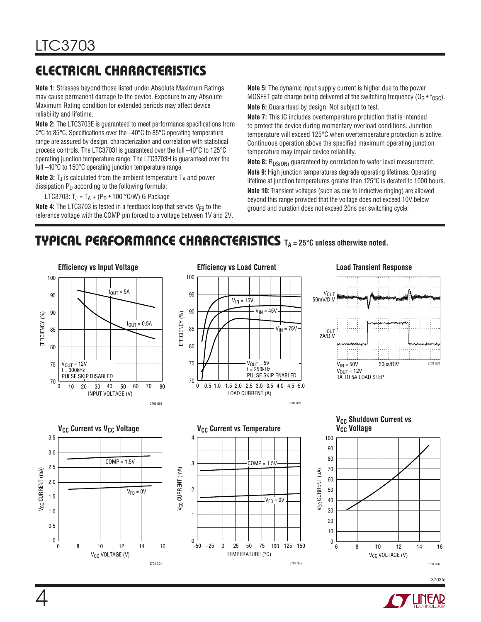# Electrical Characteristics

**Note 1:** Stresses beyond those listed under Absolute Maximum Ratings may cause permanent damage to the device. Exposure to any Absolute Maximum Rating condition for extended periods may affect device reliability and lifetime.

**Note 2:** The LTC3703E is guaranteed to meet performance specifications from 0°C to 85°C. Specifications over the –40°C to 85°C operating temperature range are assured by design, characterization and correlation with statistical process controls. The LTC3703I is guaranteed over the full –40°C to 125°C operating junction temperature range. The LTC3703H is guaranteed over the full –40°C to 150°C operating junction temperature range.

**Note 3:**  $T_{\text{J}}$  is calculated from the ambient temperature  $T_A$  and power dissipation  $P_D$  according to the following formula:

LTC3703:  $T_{\rm J} = T_{\rm A} + (P_{\rm D} \cdot 100 \, \degree \text{C/W})$  G Package

**Note 4:** The LTC3703 is tested in a feedback loop that servos V<sub>FB</sub> to the reference voltage with the COMP pin forced to a voltage between 1V and 2V. **Note 5:** The dynamic input supply current is higher due to the power MOSFET gate charge being delivered at the switching frequency ( $Q_G \cdot f_{OSC}$ ). **Note 6:** Guaranteed by design. Not subject to test.

**Note 7:** This IC includes overtemperature protection that is intended to protect the device during momentary overload conditions. Junction temperature will exceed 125°C when overtemperature protection is active. Continuous operation above the specified maximum operating junction temperature may impair device reliability.

**Note 8:** R<sub>DS(ON)</sub> guaranteed by correlation to wafer level measurement.

**Note 9:** High junction temperatures degrade operating lifetimes. Operating lifetime at junction temperatures greater than 125°C is derated to 1000 hours.

**Note 10:** Transient voltages (such as due to inductive ringing) are allowed beyond this range provided that the voltage does not exceed 10V below ground and duration does not exceed 20ns per switching cycle.

### **TYPICAL PERFORMANCE CHARACTERISTICS** T<sub>A</sub> = 25°C unless otherwise noted.





4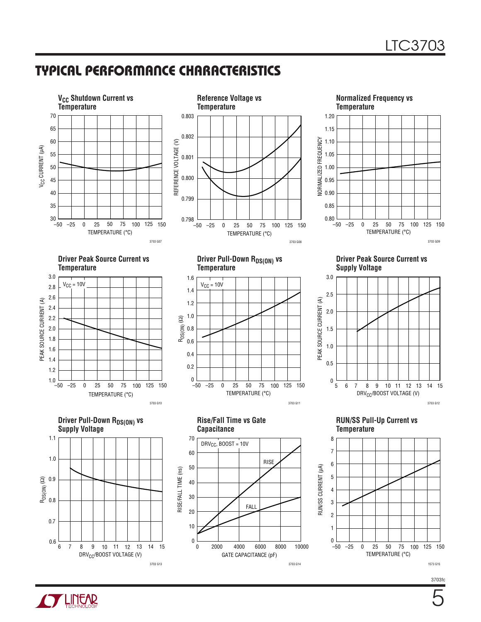### Typical Performance Characteristics



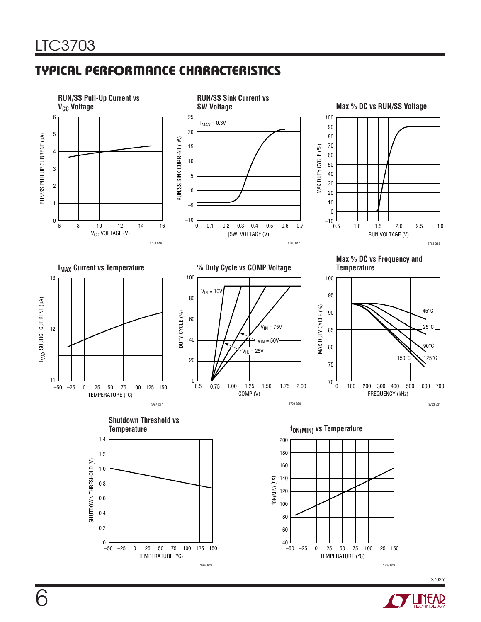# Typical Performance Characteristics



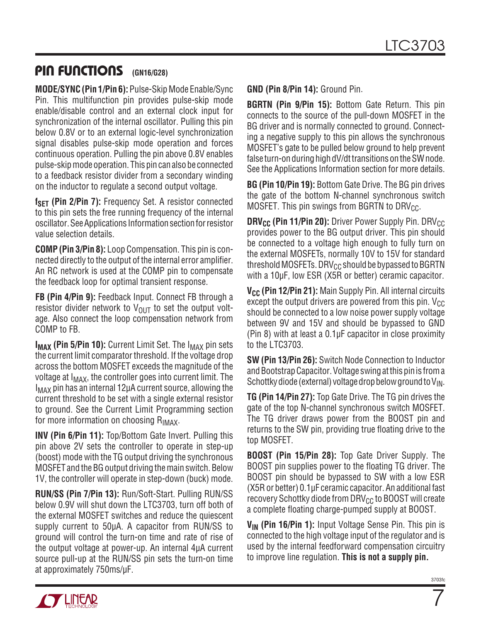### PIN FUNCTIONS **(GN16/G28)**

**MODE/SYNC (Pin 1/Pin 6):** Pulse-Skip Mode Enable/Sync Pin. This multifunction pin provides pulse-skip mode enable/disable control and an external clock input for synchronization of the internal oscillator. Pulling this pin below 0.8V or to an external logic-level synchronization signal disables pulse-skip mode operation and forces continuous operation. Pulling the pin above 0.8V enables pulse-skip mode operation. This pin can also be connected to a feedback resistor divider from a secondary winding on the inductor to regulate a second output voltage.

f<sub>SET</sub> (Pin 2/Pin 7): Frequency Set. A resistor connected to this pin sets the free running frequency of the internal oscillator. SeeApplications Informationsectionforresistor value selection details.

**COMP (Pin 3/Pin 8):** Loop Compensation. This pin is connected directly to the output of the internal error amplifier. An RC network is used at the COMP pin to compensate the feedback loop for optimal transient response.

**FB (Pin 4/Pin 9):** Feedback Input. Connect FB through a resistor divider network to  $V_{\text{OUT}}$  to set the output voltage. Also connect the loop compensation network from COMP to FB.

**I<sub>MAX</sub> (Pin 5/Pin 10):** Current Limit Set. The I<sub>MAX</sub> pin sets the current limit comparator threshold. If the voltage drop across the bottom MOSFET exceeds the magnitude of the voltage at  $I_{MAX}$ , the controller goes into current limit. The  $I_{MAX}$  pin has an internal 12 $\mu$ A current source, allowing the current threshold to be set with a single external resistor to ground. See the Current Limit Programming section for more information on choosing R<sub>IMAY</sub>.

**INV (Pin 6/Pin 11):** Top/Bottom Gate Invert. Pulling this pin above 2V sets the controller to operate in step-up (boost) mode with the TG output driving the synchronous MOSFET and the BG output driving the main switch. Below 1V, the controller will operate in step-down (buck) mode.

**RUN/SS (Pin 7/Pin 13):** Run/Soft-Start. Pulling RUN/SS below 0.9V will shut down the LTC3703, turn off both of the external MOSFET switches and reduce the quiescent supply current to 50µA. A capacitor from RUN/SS to ground will control the turn-on time and rate of rise of the output voltage at power-up. An internal 4µA current source pull-up at the RUN/SS pin sets the turn-on time at approximately 750ms/µF.

**GND (Pin 8/Pin 14):** Ground Pin.

**BGRTN (Pin 9/Pin 15):** Bottom Gate Return. This pin connects to the source of the pull-down MOSFET in the BG driver and is normally connected to ground. Connecting a negative supply to this pin allows the synchronous MOSFET's gate to be pulled below ground to help prevent false turn-on during high dV/dt transitions on the SW node. See the Applications Information section for more details.

**BG (Pin 10/Pin 19):** Bottom Gate Drive. The BG pin drives the gate of the bottom N-channel synchronous switch MOSFET. This pin swings from BGRTN to DRV $_{\text{CC}}$ .

**DRV<sub>CC</sub>** (Pin 11/Pin 20): Driver Power Supply Pin. DRV<sub>CC</sub> provides power to the BG output driver. This pin should be connected to a voltage high enough to fully turn on the external MOSFETs, normally 10V to 15V for standard threshold MOSFETs. DRV $_{\text{CC}}$  should be bypassed to BGRTN with a 10µF, low ESR (X5R or better) ceramic capacitor.

**V<sub>CC</sub>** (Pin 12/Pin 21): Main Supply Pin. All internal circuits except the output drivers are powered from this pin.  $V_{CC}$ should be connected to a low noise power supply voltage between 9V and 15V and should be bypassed to GND (Pin 8) with at least a 0.1µF capacitor in close proximity to the LTC3703.

**SW (Pin 13/Pin 26):** Switch Node Connection to Inductor and Bootstrap Capacitor. Voltage swing at this pin is from a Schottky diode (external) voltage drop below ground to  $V_{IN}$ .

**TG (Pin 14/Pin 27):** Top Gate Drive. The TG pin drives the gate of the top N-channel synchronous switch MOSFET. The TG driver draws power from the BOOST pin and returns to the SW pin, providing true floating drive to the top MOSFET.

**BOOST (Pin 15/Pin 28):** Top Gate Driver Supply. The BOOST pin supplies power to the floating TG driver. The BOOST pin should be bypassed to SW with a low ESR (X5R or better) 0.1µF ceramic capacitor. An additional fast recovery Schottky diode from DRV<sub>CC</sub> to BOOST will create a complete floating charge-pumped supply at BOOST.

**VIN (Pin 16/Pin 1):** Input Voltage Sense Pin. This pin is connected to the high voltage input of the regulator and is used by the internal feedforward compensation circuitry to improve line regulation. **This is not a supply pin.**



7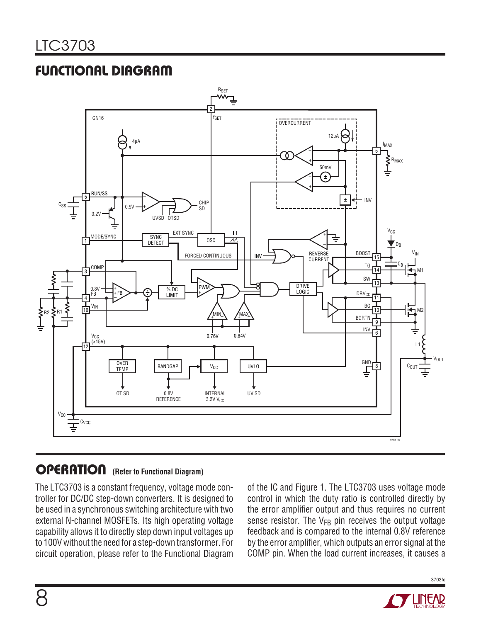# Functional Diagram



### **OPERATION** (Refer to Functional Diagram)

The LTC3703 is a constant frequency, voltage mode controller for DC/DC step-down converters. It is designed to be used in a synchronous switching architecture with two external N-channel MOSFETs. Its high operating voltage capability allows it to directly step down input voltages up to 100V without the need for a step-down transformer. For circuit operation, please refer to the Functional Diagram

of the IC and Figure 1. The LTC3703 uses voltage mode control in which the duty ratio is controlled directly by the error amplifier output and thus requires no current sense resistor. The  $V_{FB}$  pin receives the output voltage feedback and is compared to the internal 0.8V reference by the error amplifier, which outputs an error signal at the COMP pin. When the load current increases, it causes a

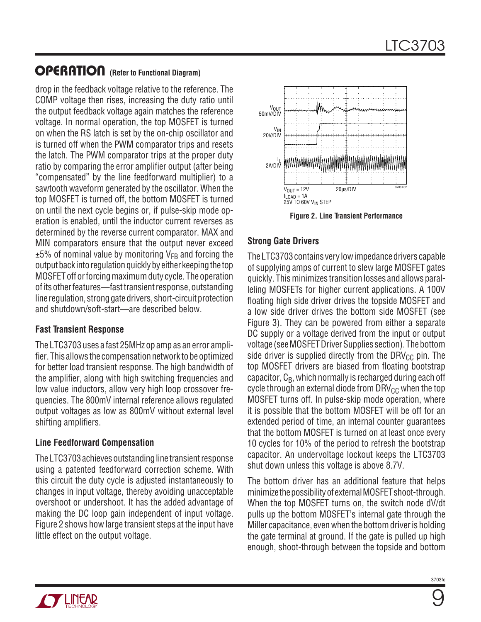drop in the feedback voltage relative to the reference. The COMP voltage then rises, increasing the duty ratio until the output feedback voltage again matches the reference voltage. In normal operation, the top MOSFET is turned on when the RS latch is set by the on-chip oscillator and is turned off when the PWM comparator trips and resets the latch. The PWM comparator trips at the proper duty ratio by comparing the error amplifier output (after being "compensated" by the line feedforward multiplier) to a sawtooth waveform generated by the oscillator. When the top MOSFET is turned off, the bottom MOSFET is turned on until the next cycle begins or, if pulse-skip mode operation is enabled, until the inductor current reverses as determined by the reverse current comparator. MAX and MIN comparators ensure that the output never exceed  $\pm 5\%$  of nominal value by monitoring V<sub>FB</sub> and forcing the output back into regulation quickly by either keeping the top MOSFET off or forcing maximum duty cycle. The operation of its other features—fast transient response, outstanding line regulation, strong gate drivers, short-circuit protection and shutdown/soft-start—are described below.

#### **Fast Transient Response**

The LTC3703 uses a fast 25MHz op amp as an error amplifier. This allows the compensation network to be optimized for better load transient response. The high bandwidth of the amplifier, along with high switching frequencies and low value inductors, allow very high loop crossover frequencies. The 800mV internal reference allows regulated output voltages as low as 800mV without external level shifting amplifiers.

#### **Line Feedforward Compensation**

The LTC3703 achieves outstanding line transient response using a patented feedforward correction scheme. With this circuit the duty cycle is adjusted instantaneously to changes in input voltage, thereby avoiding unacceptable overshoot or undershoot. It has the added advantage of making the DC loop gain independent of input voltage. Figure 2 shows how large transient steps at the input have little effect on the output voltage.



### **Strong Gate Drivers**

TheLTC3703contains very lowimpedancedrivers capable of supplying amps of current to slew large MOSFET gates quickly. This minimizes transition losses and allows paralleling MOSFETs for higher current applications. A 100V floating high side driver drives the topside MOSFET and a low side driver drives the bottom side MOSFET (see Figure 3). They can be powered from either a separate DC supply or a voltage derived from the input or output voltage (see MOSFET Driver Supplies section). The bottom side driver is supplied directly from the DRV $_{\text{CC}}$  pin. The top MOSFET drivers are biased from floating bootstrap capacitor,  $C_B$ , which normally is recharged during each off cycle through an external diode from  $DRV_{CC}$  when the top MOSFET turns off. In pulse-skip mode operation, where it is possible that the bottom MOSFET will be off for an extended period of time, an internal counter guarantees that the bottom MOSFET is turned on at least once every 10 cycles for 10% of the period to refresh the bootstrap capacitor. An undervoltage lockout keeps the LTC3703 shut down unless this voltage is above 8.7V.

The bottom driver has an additional feature that helps minimize the possibility of external MOSFET shoot-through. When the top MOSFET turns on, the switch node dV/dt pulls up the bottom MOSFET's internal gate through the Miller capacitance, even when the bottom driver is holding the gate terminal at ground. If the gate is pulled up high enough, shoot-through between the topside and bottom



9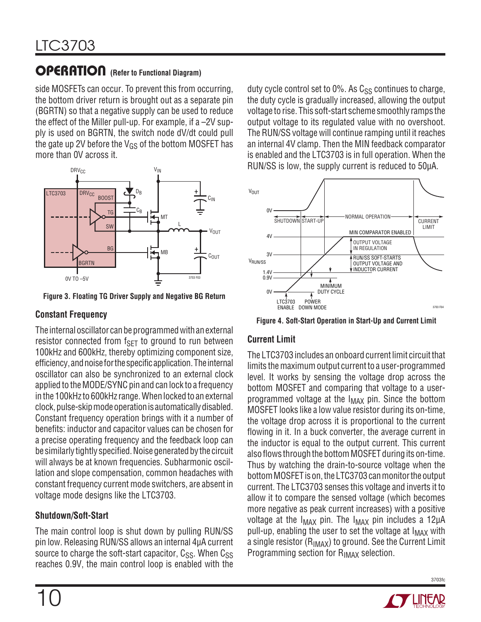side MOSFETs can occur. To prevent this from occurring, the bottom driver return is brought out as a separate pin (BGRTN) so that a negative supply can be used to reduce the effect of the Miller pull-up. For example, if a –2V supply is used on BGRTN, the switch node dV/dt could pull the gate up 2V before the  $V_{GS}$  of the bottom MOSFET has more than 0V across it.



**Figure 3. Floating TG Driver Supply and Negative BG Return**

#### **Constant Frequency**

The internal oscillator can be programmed with an external resistor connected from  $f_{\text{SFT}}$  to ground to run between 100kHz and 600kHz, thereby optimizing component size, efficiency, and noise for the specific application. The internal oscillator can also be synchronized to an external clock applied to the MODE/SYNC pin and can lock to a frequency in the 100kHz to 600kHz range. When locked to an external clock, pulse-skipmodeoperationis automaticallydisabled. Constant frequency operation brings with it a number of benefits: inductor and capacitor values can be chosen for a precise operating frequency and the feedback loop can be similarly tightly specified. Noise generated by the circuit will always be at known frequencies. Subharmonic oscillation and slope compensation, common headaches with constant frequency current mode switchers, are absent in voltage mode designs like the LTC3703.

### **Shutdown/Soft-Start**

The main control loop is shut down by pulling RUN/SS pin low. Releasing RUN/SS allows an internal 4µA current source to charge the soft-start capacitor,  $C_{SS}$ . When  $C_{SS}$ reaches 0.9V, the main control loop is enabled with the duty cycle control set to  $0\%$ . As  $C_{SS}$  continues to charge, the duty cycle is gradually increased, allowing the output voltage to rise. This soft-start scheme smoothly ramps the output voltage to its regulated value with no overshoot. The RUN/SS voltage will continue ramping until it reaches an internal 4V clamp. Then the MIN feedback comparator is enabled and the LTC3703 is in full operation. When the RUN/SS is low, the supply current is reduced to 50µA.



**Figure 4. Soft-Start Operation in Start-Up and Current Limit**

### **Current Limit**

The LTC3703 includes an onboard current limit circuit that limits the maximum output current to a user-programmed level. It works by sensing the voltage drop across the bottom MOSFET and comparing that voltage to a userprogrammed voltage at the  $I_{MAX}$  pin. Since the bottom MOSFET looks like a low value resistor during its on-time, the voltage drop across it is proportional to the current flowing in it. In a buck converter, the average current in the inductor is equal to the output current. This current also flows through the bottom MOSFET during its on-time. Thus by watching the drain-to-source voltage when the bottom MOSFET is on, the LTC3703 can monitor the output current. The LTC3703 senses this voltage and inverts it to allow it to compare the sensed voltage (which becomes more negative as peak current increases) with a positive voltage at the  $I_{MAX}$  pin. The  $I_{MAX}$  pin includes a 12µA pull-up, enabling the user to set the voltage at  $I_{MAX}$  with a single resistor  $(R<sub>IMAX</sub>)$  to ground. See the Current Limit Programming section for R<sub>IMAX</sub> selection.

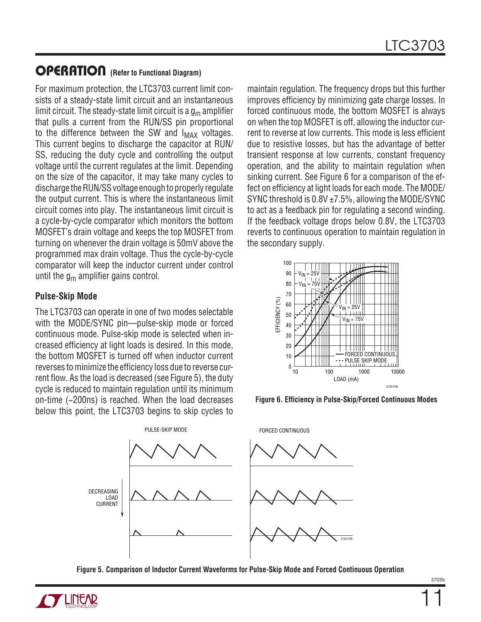For maximum protection, the LTC3703 current limit consists of a steady-state limit circuit and an instantaneous limit circuit. The steady-state limit circuit is a  $g<sub>m</sub>$  amplifier that pulls a current from the RUN/SS pin proportional to the difference between the SW and  $I_{MAX}$  voltages. This current begins to discharge the capacitor at RUN/ SS, reducing the duty cycle and controlling the output voltage until the current regulates at the limit. Depending on the size of the capacitor, it may take many cycles to discharge the RUN/SS voltage enough to properly regulate the output current. This is where the instantaneous limit circuit comes into play. The instantaneous limit circuit is a cycle-by-cycle comparator which monitors the bottom MOSFET's drain voltage and keeps the top MOSFET from turning on whenever the drain voltage is 50mV above the programmed max drain voltage. Thus the cycle-by-cycle comparator will keep the inductor current under control until the  $g_m$  amplifier gains control.

#### **Pulse-Skip Mode**

The LTC3703 can operate in one of two modes selectable with the MODE/SYNC pin—pulse-skip mode or forced continuous mode. Pulse-skip mode is selected when increased efficiency at light loads is desired. In this mode, the bottom MOSFET is turned off when inductor current reverses to minimize the efficiency loss due to reverse current flow. As the load is decreased (see Figure 5), the duty cycle is reduced to maintain regulation until its minimum on-time (~200ns) is reached. When the load decreases below this point, the LTC3703 begins to skip cycles to maintain regulation. The frequency drops but this further improves efficiency by minimizing gate charge losses. In forced continuous mode, the bottom MOSFET is always on when the top MOSFET is off, allowing the inductor current to reverse at low currents. This mode is less efficient due to resistive losses, but has the advantage of better transient response at low currents, constant frequency operation, and the ability to maintain regulation when sinking current. See Figure 6 for a comparison of the effect on efficiency at light loads for each mode. The MODE/ SYNC threshold is 0.8V ±7.5%, allowing the MODE/SYNC to act as a feedback pin for regulating a second winding. If the feedback voltage drops below 0.8V, the LTC3703 reverts to continuous operation to maintain regulation in the secondary supply.



**Figure 6. Efficiency in Pulse-Skip/Forced Continuous Modes**



**Figure 5. Comparison of Inductor Current Waveforms for Pulse-Skip Mode and Forced Continuous Operation**

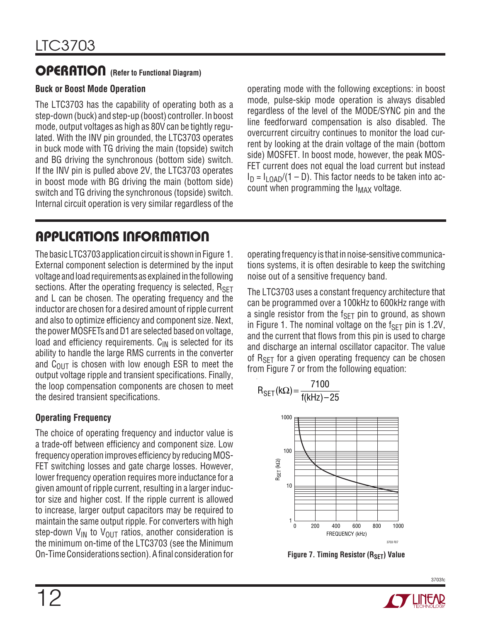### **Buck or Boost Mode Operation**

The LTC3703 has the capability of operating both as a step-down (buck) and step-up (boost) controller. In boost mode, output voltages as high as 80V can be tightly regulated. With the INV pin grounded, the LTC3703 operates in buck mode with TG driving the main (topside) switch and BG driving the synchronous (bottom side) switch. If the INV pin is pulled above 2V, the LTC3703 operates in boost mode with BG driving the main (bottom side) switch and TG driving the synchronous (topside) switch. Internal circuit operation is very similar regardless of the

operating mode with the following exceptions: in boost mode, pulse-skip mode operation is always disabled regardless of the level of the MODE/SYNC pin and the line feedforward compensation is also disabled. The overcurrent circuitry continues to monitor the load current by looking at the drain voltage of the main (bottom side) MOSFET. In boost mode, however, the peak MOS-FET current does not equal the load current but instead  $I_D = I_{LOAD}/(1 - D)$ . This factor needs to be taken into account when programming the  $I_{MAX}$  voltage.

### Applications Information

The basic LTC3703 application circuit is shown in Figure 1. External component selection is determined by the input voltage and load requirements as explained in the following sections. After the operating frequency is selected, RSET and L can be chosen. The operating frequency and the inductor are chosen for a desired amount of ripple current and also to optimize efficiency and component size. Next, the power MOSFETs and D1 are selected based on voltage, load and efficiency requirements.  $C_{IN}$  is selected for its ability to handle the large RMS currents in the converter and  $C<sub>OUT</sub>$  is chosen with low enough ESR to meet the output voltage ripple and transient specifications. Finally, the loop compensation components are chosen to meet the desired transient specifications.

### **Operating Frequency**

The choice of operating frequency and inductor value is a trade-off between efficiency and component size. Low frequency operation improves efficiency by reducing MOS-FET switching losses and gate charge losses. However, lower frequency operation requires more inductance for a given amount of ripple current, resulting in a larger inductor size and higher cost. If the ripple current is allowed to increase, larger output capacitors may be required to maintain the same output ripple. For converters with high step-down  $V_{IN}$  to  $V_{OIII}$  ratios, another consideration is the minimum on-time of the LTC3703 (see the Minimum On-Time Considerations section). A final consideration for

operating frequency is that in noise-sensitive communications systems, it is often desirable to keep the switching noise out of a sensitive frequency band.

The LTC3703 uses a constant frequency architecture that can be programmed over a 100kHz to 600kHz range with a single resistor from the  $f_{\text{SFT}}$  pin to ground, as shown in Figure 1. The nominal voltage on the  $f_{\text{SFT}}$  pin is 1.2V, and the current that flows from this pin is used to charge and discharge an internal oscillator capacitor. The value of  $R_{\text{SFT}}$  for a given operating frequency can be chosen from Figure 7 or from the following equation:

$$
R_{SET}(k\Omega) = \frac{7100}{f(kHz) - 25}
$$



**Figure 7. Timing Resistor (RSET) Value** 

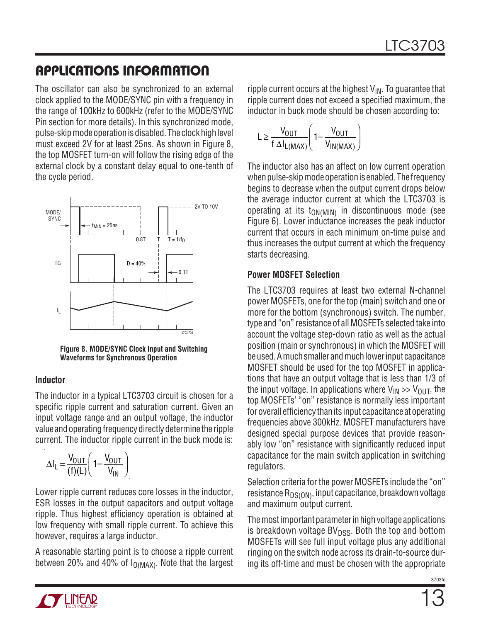The oscillator can also be synchronized to an external clock applied to the MODE/SYNC pin with a frequency in the range of 100kHz to 600kHz (refer to the MODE/SYNC Pin section for more details). In this synchronized mode, pulse-skipmodeoperationisdisabled. The clockhighlevel must exceed 2V for at least 25ns. As shown in Figure 8, the top MOSFET turn-on will follow the rising edge of the external clock by a constant delay equal to one-tenth of the cycle period.



**Figure 8. MODE/SYNC Clock Input and Switching Waveforms for Synchronous Operation**

#### **Inductor**

The inductor in a typical LTC3703 circuit is chosen for a specific ripple current and saturation current. Given an input voltage range and an output voltage, the inductor value and operating frequency directly determine the ripple current. The inductor ripple current in the buck mode is:

$$
\Delta I_L = \frac{V_{OUT}}{(f)(L)} \left( 1 - \frac{V_{OUT}}{V_{IN}} \right)
$$

Lower ripple current reduces core losses in the inductor, ESR losses in the output capacitors and output voltage ripple. Thus highest efficiency operation is obtained at low frequency with small ripple current. To achieve this however, requires a large inductor.

A reasonable starting point is to choose a ripple current between 20% and 40% of  $I_{O(MAX)}$ . Note that the largest ripple current occurs at the highest  $V_{IN}$ . To guarantee that ripple current does not exceed a specified maximum, the inductor in buck mode should be chosen according to:

$$
L \ge \frac{V_{OUT}}{f \Delta I_{L(MAX)}} \left( 1 - \frac{V_{OUT}}{V_{IN(MAX)}} \right)
$$

The inductor also has an affect on low current operation when pulse-skip mode operation is enabled. The frequency begins to decrease when the output current drops below the average inductor current at which the LTC3703 is operating at its  $t_{ON(MIN)}$  in discontinuous mode (see Figure 6). Lower inductance increases the peak inductor current that occurs in each minimum on-time pulse and thus increases the output current at which the frequency starts decreasing.

#### **Power MOSFET Selection**

The LTC3703 requires at least two external N-channel power MOSFETs, one for the top (main) switch and one or more for the bottom (synchronous) switch. The number, type and "on" resistance of all MOSFETs selected take into account the voltage step-down ratio as well as the actual position (main or synchronous) in which the MOSFET will be used. A much smaller and much lower input capacitance MOSFET should be used for the top MOSFET in applications that have an output voltage that is less than 1/3 of the input voltage. In applications where  $V_{IN} \gg V_{OIII}$ , the top MOSFETs' "on" resistance is normally less important for overall efficiency than its input capacitance at operating frequencies above 300kHz. MOSFET manufacturers have designed special purpose devices that provide reasonably low "on" resistance with significantly reduced input capacitance for the main switch application in switching regulators.

Selection criteria for the power MOSFETs include the "on" resistance  $R_{DS(ON)}$ , input capacitance, breakdown voltage and maximum output current.

The most important parameter in high voltage applications is breakdown voltage  $BV<sub>DSS</sub>$ . Both the top and bottom MOSFETs will see full input voltage plus any additional ringing on the switch node across its drain-to-source during its off-time and must be chosen with the appropriate

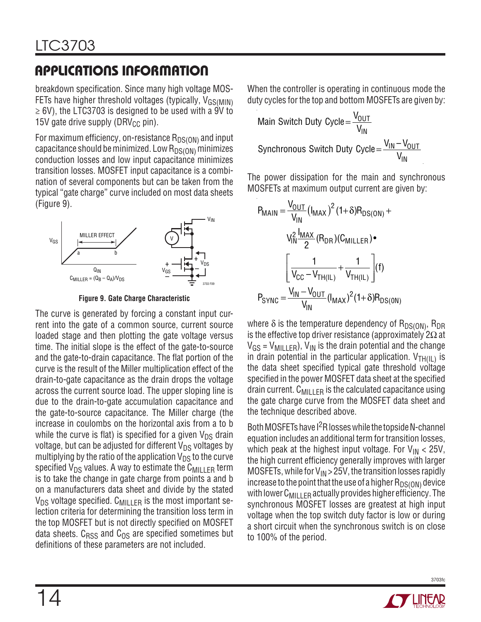breakdown specification. Since many high voltage MOS-FETs have higher threshold voltages (typically,  $V_{GS(MIN)}$ )  $\geq$  6V), the LTC3703 is designed to be used with a 9V to 15V gate drive supply (DRV $_{CC}$  pin).

For maximum efficiency, on-resistance  $R_{DS(ON)}$  and input capacitance should be minimized. Low  $R_{DS(ON)}$  minimizes conduction losses and low input capacitance minimizes transition losses. MOSFET input capacitance is a combination of several components but can be taken from the typical "gate charge" curve included on most data sheets (Figure 9).



**Figure 9. Gate Charge Characteristic**

The curve is generated by forcing a constant input current into the gate of a common source, current source loaded stage and then plotting the gate voltage versus time. The initial slope is the effect of the gate-to-source and the gate-to-drain capacitance. The flat portion of the curve is the result of the Miller multiplication effect of the drain-to-gate capacitance as the drain drops the voltage across the current source load. The upper sloping line is due to the drain-to-gate accumulation capacitance and the gate-to-source capacitance. The Miller charge (the increase in coulombs on the horizontal axis from a to b while the curve is flat) is specified for a given  $\mathsf{V}_{\mathsf{DS}}$  drain voltage, but can be adjusted for different  $V_{DS}$  voltages by multiplying by the ratio of the application  $V_{DS}$  to the curve specified  $V_{DS}$  values. A way to estimate the  $C_{MII|TFR}$  term is to take the change in gate charge from points a and b on a manufacturers data sheet and divide by the stated  $V_{DS}$  voltage specified.  $C_{MII|T}F_R$  is the most important selection criteria for determining the transition loss term in the top MOSFET but is not directly specified on MOSFET data sheets.  $C_{RSS}$  and  $C_{OS}$  are specified sometimes but definitions of these parameters are not included.

When the controller is operating in continuous mode the duty cycles for the top and bottom MOSFETs are given by:

Main Switch Duty Cycle = 
$$
\frac{V_{OUT}}{V_{IN}}
$$
  
Synchronous Switch Duty Cycle =  $\frac{V_{IN} - V_{OUT}}{V_{IN}}$ 

The power dissipation for the main and synchronous MOSFETs at maximum output current are given by:

$$
P_{\text{MAIN}} = \frac{V_{\text{OUT}}}{V_{\text{IN}}} (I_{\text{MAX}})^{2} (1+\delta) R_{\text{DS(ON)}} + V_{\text{IN}}^{2} \frac{I_{\text{MAX}}}{2} (R_{\text{DR}}) (C_{\text{MILLER}}) \bullet
$$

$$
\left[ \frac{1}{V_{\text{CC}} - V_{\text{TH(IL)}}} + \frac{1}{V_{\text{TH(IL)}}} \right] (f)
$$

$$
P_{\text{SYNC}} = \frac{V_{\text{IN}} - V_{\text{OUT}}}{V_{\text{IN}}} (I_{\text{MAX}})^{2} (1+\delta) R_{\text{DS(ON)}}
$$

where  $\delta$  is the temperature dependency of R<sub>DS(ON)</sub>, R<sub>DR</sub> is the effective top driver resistance (approximately  $2\Omega$  at  $V_{GS} = V_{MII}$ <sub>LER</sub>),  $V_{IN}$  is the drain potential and the change in drain potential in the particular application.  $V_{TH(II)}$  is the data sheet specified typical gate threshold voltage specified in the power MOSFET data sheet at the specified drain current.  $C_{MII|I}$  FR is the calculated capacitance using the gate charge curve from the MOSFET data sheet and the technique described above.

Both MOSFETs have I<sup>2</sup>R losses while the topside N-channel equation includes an additional term for transition losses, which peak at the highest input voltage. For  $V_{IN}$  < 25V, the high current efficiency generally improves with larger MOSFETs, while for  $V_{IN} > 25V$ , the transition losses rapidly increase to the point that the use of a higher  $R_{DS(ON)}$  device with lower  $C_{\text{MILLER}}$  actually provides higher efficiency. The synchronous MOSFET losses are greatest at high input voltage when the top switch duty factor is low or during a short circuit when the synchronous switch is on close to 100% of the period.

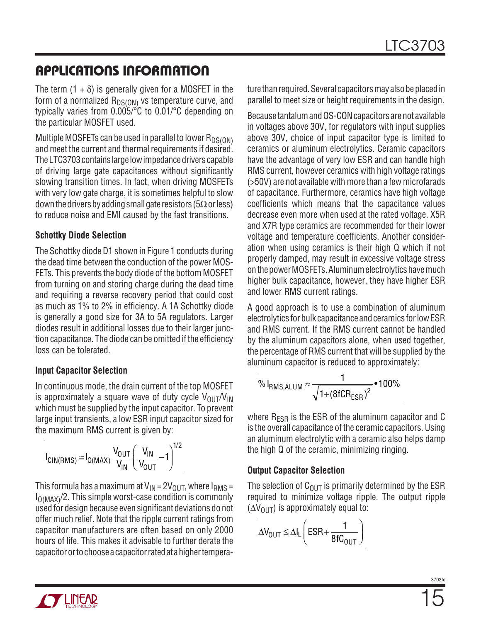The term  $(1 + \delta)$  is generally given for a MOSFET in the form of a normalized  $R_{DS(ON)}$  vs temperature curve, and typically varies from 0.005/°C to 0.01/°C depending on the particular MOSFET used.

Multiple MOSFETs can be used in parallel to lower  $R_{DS(ON)}$ and meet the current and thermal requirements if desired. TheLTC3703containslargelowimpedancedrivers capable of driving large gate capacitances without significantly slowing transition times. In fact, when driving MOSFETs with very low gate charge, it is sometimes helpful to slow down the drivers by adding small gate resistors (5 $\Omega$  or less) to reduce noise and EMI caused by the fast transitions.

#### **Schottky Diode Selection**

The Schottky diode D1 shown in Figure 1 conducts during the dead time between the conduction of the power MOS-FETs. This prevents the body diode of the bottom MOSFET from turning on and storing charge during the dead time and requiring a reverse recovery period that could cost as much as 1% to 2% in efficiency. A 1A Schottky diode is generally a good size for 3A to 5A regulators. Larger diodes result in additional losses due to their larger junction capacitance. The diode can be omitted if the efficiency loss can be tolerated.

#### **Input Capacitor Selection**

In continuous mode, the drain current of the top MOSFET is approximately a square wave of duty cycle  $V_{\text{OUT}}/V_{\text{IN}}$ which must be supplied by the input capacitor. To prevent large input transients, a low ESR input capacitor sized for the maximum RMS current is given by:

$$
I_{\text{CIN(RMS)}} \cong I_{\text{O(MAX)}} \frac{V_{\text{OUT}}}{V_{\text{IN}}} \left(\frac{V_{\text{IN}}}{V_{\text{OUT}}} - 1\right)^{1/2}
$$

This formula has a maximum at  $V_{\text{IN}} = 2V_{\text{OUT}}$ , where  $I_{\text{RMS}} =$  $I_{\Omega(MAX)}/2$ . This simple worst-case condition is commonly used for design because even significant deviations do not offer much relief. Note that the ripple current ratings from capacitor manufacturers are often based on only 2000 hours of life. This makes it advisable to further derate the capacitorortochoose a capacitorratedat a highertemperature than required. Several capacitors may also be placed in parallel to meet size or height requirements in the design.

Because tantalum and OS-CON capacitors are not available in voltages above 30V, for regulators with input supplies above 30V, choice of input capacitor type is limited to ceramics or aluminum electrolytics. Ceramic capacitors have the advantage of very low ESR and can handle high RMS current, however ceramics with high voltage ratings (>50V) are not available with more than a few microfarads of capacitance. Furthermore, ceramics have high voltage coefficients which means that the capacitance values decrease even more when used at the rated voltage. X5R and X7R type ceramics are recommended for their lower voltage and temperature coefficients. Another consideration when using ceramics is their high Q which if not properly damped, may result in excessive voltage stress on the power MOSFETs. Aluminum electrolytics have much higher bulk capacitance, however, they have higher ESR and lower RMS current ratings.

A good approach is to use a combination of aluminum electrolytics for bulk capacitance and ceramics for low ESR and RMS current. If the RMS current cannot be handled by the aluminum capacitors alone, when used together, the percentage of RMS current that will be supplied by the aluminum capacitor is reduced to approximately:

% I<sub>RMS,ALUM</sub> 
$$
\approx \frac{1}{\sqrt{1 + (8fCR_{ESR})^2}}
$$
 **•**100%

where  $R_{ESR}$  is the ESR of the aluminum capacitor and C is the overall capacitance of the ceramic capacitors. Using an aluminum electrolytic with a ceramic also helps damp the high Q of the ceramic, minimizing ringing.

### **Output Capacitor Selection**

The selection of  $C_{\text{OUT}}$  is primarily determined by the ESR required to minimize voltage ripple. The output ripple  $(\Delta V_{\text{OUT}})$  is approximately equal to:

$$
\Delta V_{OUT} \leq \Delta I_L \left( ESR + \frac{1}{8fC_{OUT}} \right)
$$

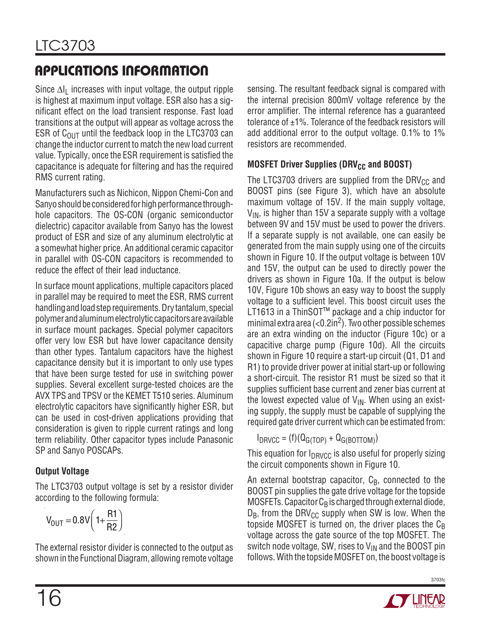Since  $\Delta I_L$  increases with input voltage, the output ripple is highest at maximum input voltage. ESR also has a significant effect on the load transient response. Fast load transitions at the output will appear as voltage across the ESR of  $C_{\text{OUT}}$  until the feedback loop in the LTC3703 can change the inductor current to match the new load current value. Typically, once the ESR requirement is satisfied the capacitance is adequate for filtering and has the required RMS current rating.

Manufacturers such as Nichicon, Nippon Chemi-Con and Sanyo should be considered for high performance throughhole capacitors. The OS-CON (organic semiconductor dielectric) capacitor available from Sanyo has the lowest product of ESR and size of any aluminum electrolytic at a somewhat higher price. An additional ceramic capacitor in parallel with OS-CON capacitors is recommended to reduce the effect of their lead inductance.

In surface mount applications, multiple capacitors placed in parallel may be required to meet the ESR, RMS current handling and load step requirements. Dry tantalum, special polymer andaluminumelectrolytic capacitors are available in surface mount packages. Special polymer capacitors offer very low ESR but have lower capacitance density than other types. Tantalum capacitors have the highest capacitance density but it is important to only use types that have been surge tested for use in switching power supplies. Several excellent surge-tested choices are the AVX TPS and TPSV or the KEMET T510 series. Aluminum electrolytic capacitors have significantly higher ESR, but can be used in cost-driven applications providing that consideration is given to ripple current ratings and long term reliability. Other capacitor types include Panasonic SP and Sanyo POSCAPs.

### **Output Voltage**

The LTC3703 output voltage is set by a resistor divider according to the following formula:

$$
V_{\text{OUT}} = 0.8V \left(1 + \frac{R1}{R2}\right)
$$

The external resistor divider is connected to the output as shown in the Functional Diagram, allowing remote voltage sensing. The resultant feedback signal is compared with the internal precision 800mV voltage reference by the error amplifier. The internal reference has a guaranteed tolerance of  $\pm 1\%$ . Tolerance of the feedback resistors will add additional error to the output voltage. 0.1% to 1% resistors are recommended.

### **MOSFET Driver Supplies (DRV<sub>CC</sub> and BOOST)**

The LTC3703 drivers are supplied from the DRV $_{\rm CC}$  and BOOST pins (see Figure 3), which have an absolute maximum voltage of 15V. If the main supply voltage,  $V_{IN}$ , is higher than 15V a separate supply with a voltage between 9V and 15V must be used to power the drivers. If a separate supply is not available, one can easily be generated from the main supply using one of the circuits shown in Figure 10. If the output voltage is between 10V and 15V, the output can be used to directly power the drivers as shown in Figure 10a. If the output is below 10V, Figure 10b shows an easy way to boost the supply voltage to a sufficient level. This boost circuit uses the LT1613 in a ThinSOT™ package and a chip inductor for minimal extra area ( $<$ 0.2in<sup>2</sup>). Two other possible schemes are an extra winding on the inductor (Figure 10c) or a capacitive charge pump (Figure 10d). All the circuits shown in Figure 10 require a start-up circuit (Q1, D1 and R1) to provide driver power at initial start-up or following a short-circuit. The resistor R1 must be sized so that it supplies sufficient base current and zener bias current at the lowest expected value of  $V_{\text{IN}}$ . When using an existing supply, the supply must be capable of supplying the required gate driver current which can be estimated from:

 $I_{DRVCC} = (f)(Q_{G(TOP)} + Q_{G(BOTTOM)})$ 

This equation for  $I_{DRVCC}$  is also useful for properly sizing the circuit components shown in Figure 10.

An external bootstrap capacitor,  $C_B$ , connected to the BOOST pin supplies the gate drive voltage for the topside MOSFETs. Capacitor  $C_B$  is charged through external diode,  $D_B$ , from the DRV $_{CC}$  supply when SW is low. When the topside MOSFET is turned on, the driver places the  $C_B$ voltage across the gate source of the top MOSFET. The switch node voltage, SW, rises to  $V_{IN}$  and the BOOST pin follows. With the topside MOSFET on, the boost voltage is



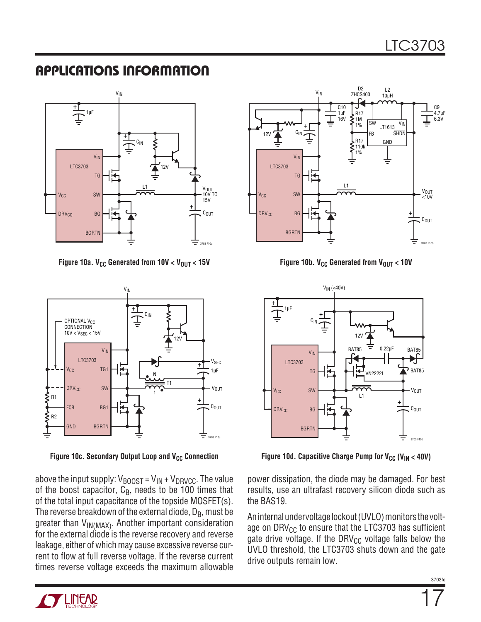

Figure 10a. V<sub>CC</sub> Generated from 10V < V<sub>OUT</sub> < 15V Figure 10b. V<sub>CC</sub> Generated from V<sub>OUT</sub> < 10V



above the input supply:  $V_{\text{BOOST}} = V_{\text{IN}} + V_{\text{DRVCC}}$ . The value of the boost capacitor,  $C_B$ , needs to be 100 times that of the total input capacitance of the topside MOSFET(s). The reverse breakdown of the external diode,  $D_B$ , must be greater than  $V_{IN(MAX)}$ . Another important consideration for the external diode is the reverse recovery and reverse leakage, either of which may cause excessive reverse current to flow at full reverse voltage. If the reverse current times reverse voltage exceeds the maximum allowable





Figure 10c. Secondary Output Loop and V<sub>CC</sub> Connection **Figure 10d. Capacitive Charge Pump for V<sub>CC</sub> (V<sub>IN</sub> < 40V)** 

power dissipation, the diode may be damaged. For best results, use an ultrafast recovery silicon diode such as the BAS19.

Aninternalundervoltage lockout (UVLO) monitors the voltage on DRV $_{\text{CC}}$  to ensure that the LTC3703 has sufficient gate drive voltage. If the DRV<sub>CC</sub> voltage falls below the UVLO threshold, the LTC3703 shuts down and the gate drive outputs remain low.

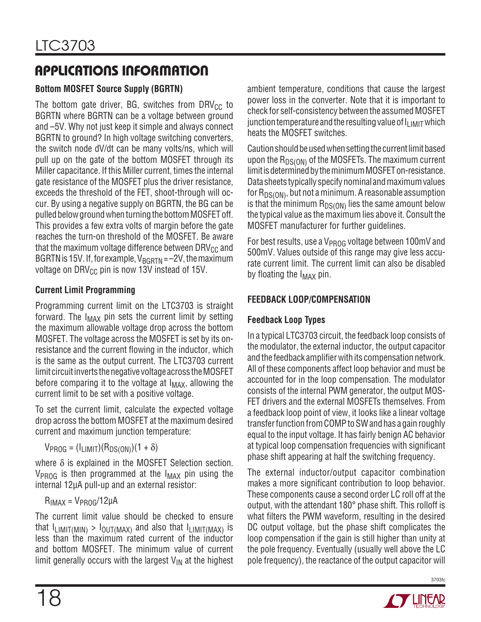### **Bottom MOSFET Source Supply (BGRTN)**

The bottom gate driver, BG, switches from  $DRV_{CC}$  to BGRTN where BGRTN can be a voltage between ground and –5V. Why not just keep it simple and always connect BGRTN to ground? In high voltage switching converters, the switch node dV/dt can be many volts/ns, which will pull up on the gate of the bottom MOSFET through its Miller capacitance. If this Miller current, times the internal gate resistance of the MOSFET plus the driver resistance, exceeds the threshold of the FET, shoot-through will occur. By using a negative supply on BGRTN, the BG can be pulled below ground when turning the bottom MOSFET off. This provides a few extra volts of margin before the gate reaches the turn-on threshold of the MOSFET. Be aware that the maximum voltage difference between  $DRV_{CC}$  and BGRTN is 15V. If, for example,  $V_{\text{BGRTN}} = -2V$ , the maximum voltage on DRV $_{\text{CC}}$  pin is now 13V instead of 15V.

#### **Current Limit Programming**

Programming current limit on the LTC3703 is straight forward. The  $I_{MAX}$  pin sets the current limit by setting the maximum allowable voltage drop across the bottom MOSFET. The voltage across the MOSFET is set by its onresistance and the current flowing in the inductor, which is the same as the output current. The LTC3703 current limit circuit inverts the negative voltage across the MOSFET before comparing it to the voltage at  $I_{MAX}$ , allowing the current limit to be set with a positive voltage.

To set the current limit, calculate the expected voltage drop across the bottom MOSFET at the maximum desired current and maximum junction temperature:

 $V_{PROG} = (I_{LIMIT})(R_{DS(ON)})(1 + \delta)$ 

where δ is explained in the MOSFET Selection section.  $V_{PROG}$  is then programmed at the  $I_{MAX}$  pin using the internal 12µA pull-up and an external resistor:

$$
R_{IMAX} = V_{PROG}/12\mu A
$$

The current limit value should be checked to ensure that  $I_{LIMIT(MIN)} > I_{OUT(MAX)}$  and also that  $I_{LIMIT(MAX)}$  is less than the maximum rated current of the inductor and bottom MOSFET. The minimum value of current limit generally occurs with the largest  $V_{IN}$  at the highest ambient temperature, conditions that cause the largest power loss in the converter. Note that it is important to check for self-consistency between the assumed MOSFET junction temperature and the resulting value of  $I_{\text{LIMIT}}$  which heats the MOSFET switches.

Caution should be used when setting the current limit based upon the  $R_{DS(ON)}$  of the MOSFETs. The maximum current limitisdeterminedbytheminimumMOSFETon-resistance. Data sheets typically specify nominal and maximum values for  $R_{DS(ON)}$ , but not a minimum. A reasonable assumption is that the minimum  $R_{DS(ON)}$  lies the same amount below the typical value as the maximum lies above it. Consult the MOSFET manufacturer for further guidelines.

For best results, use a V<sub>PROG</sub> voltage between 100mV and 500mV. Values outside of this range may give less accurate current limit. The current limit can also be disabled by floating the  $I_{MAX}$  pin.

### **FEEDBACK LOOP/COMPENSATION**

### **Feedback Loop Types**

In a typical LTC3703 circuit, the feedback loop consists of the modulator, the external inductor, the output capacitor and the feedback amplifier with its compensation network. All of these components affect loop behavior and must be accounted for in the loop compensation. The modulator consists of the internal PWM generator, the output MOS-FET drivers and the external MOSFETs themselves. From a feedback loop point of view, it looks like a linear voltage transfer function fromCOMP to SW and has a gain roughly equal to the input voltage. It has fairly benign AC behavior at typical loop compensation frequencies with significant phase shift appearing at half the switching frequency.

The external inductor/output capacitor combination makes a more significant contribution to loop behavior. These components cause a second order LC roll off at the output, with the attendant 180° phase shift. This rolloff is what filters the PWM waveform, resulting in the desired DC output voltage, but the phase shift complicates the loop compensation if the gain is still higher than unity at the pole frequency. Eventually (usually well above the LC pole frequency), the reactance of the output capacitor will



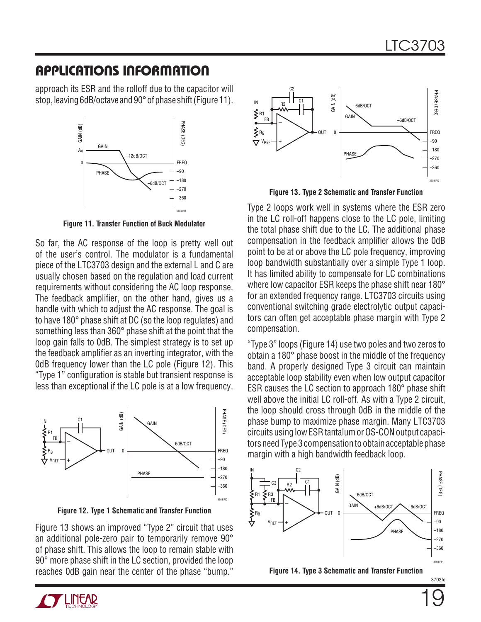approach its ESR and the rolloff due to the capacitor will stop, leaving 6dB/octave and 90° of phase shift (Figure 11).



**Figure 11. Transfer Function of Buck Modulator**

So far, the AC response of the loop is pretty well out of the user's control. The modulator is a fundamental piece of the LTC3703 design and the external L and C are usually chosen based on the regulation and load current requirements without considering the AC loop response. The feedback amplifier, on the other hand, gives us a handle with which to adjust the AC response. The goal is to have 180° phase shift at DC (so the loop regulates) and something less than 360° phase shift at the point that the loop gain falls to 0dB. The simplest strategy is to set up the feedback amplifier as an inverting integrator, with the 0dB frequency lower than the LC pole (Figure 12). This "Type 1" configuration is stable but transient response is less than exceptional if the LC pole is at a low frequency.



**Figure 12. Type 1 Schematic and Transfer Function**

Figure 13 shows an improved "Type 2" circuit that uses an additional pole-zero pair to temporarily remove 90° of phase shift. This allows the loop to remain stable with 90° more phase shift in the LC section, provided the loop reaches 0dB gain near the center of the phase "bump."



**Figure 13. Type 2 Schematic and Transfer Function**

Type 2 loops work well in systems where the ESR zero in the LC roll-off happens close to the LC pole, limiting the total phase shift due to the LC. The additional phase compensation in the feedback amplifier allows the 0dB point to be at or above the LC pole frequency, improving loop bandwidth substantially over a simple Type 1 loop. It has limited ability to compensate for LC combinations where low capacitor ESR keeps the phase shift near 180° for an extended frequency range. LTC3703 circuits using conventional switching grade electrolytic output capacitors can often get acceptable phase margin with Type 2 compensation.

"Type 3" loops (Figure 14) use two poles and two zeros to obtain a 180° phase boost in the middle of the frequency band. A properly designed Type 3 circuit can maintain acceptable loop stability even when low output capacitor ESR causes the LC section to approach 180° phase shift well above the initial LC roll-off. As with a Type 2 circuit, the loop should cross through 0dB in the middle of the phase bump to maximize phase margin. Many LTC3703 circuits using low ESR tantalum or OS-CON output capacitors need Type 3 compensation to obtain acceptable phase margin with a high bandwidth feedback loop.



**Figure 14. Type 3 Schematic and Transfer Function**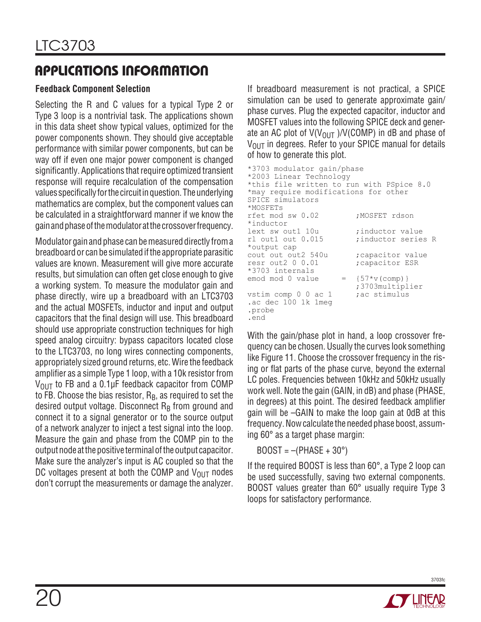#### **Feedback Component Selection**

Selecting the R and C values for a typical Type 2 or Type 3 loop is a nontrivial task. The applications shown in this data sheet show typical values, optimized for the power components shown. They should give acceptable performance with similar power components, but can be way off if even one major power component is changed significantly. Applications that require optimized transient response will require recalculation of the compensation values specifically for the circuit in question. The underlying mathematics are complex, but the component values can be calculated in a straightforward manner if we know the gain and phase of the modulator at the crossover frequency.

Modulator gain and phase can be measured directly from a breadboard or can be simulated if the appropriate parasitic values are known. Measurement will give more accurate results, but simulation can often get close enough to give a working system. To measure the modulator gain and phase directly, wire up a breadboard with an LTC3703 and the actual MOSFETs, inductor and input and output capacitors that the final design will use. This breadboard should use appropriate construction techniques for high speed analog circuitry: bypass capacitors located close to the LTC3703, no long wires connecting components, appropriately sized ground returns, etc. Wire the feedback amplifier as a simple Type 1 loop, with a 10k resistor from  $V_{\text{OUT}}$  to FB and a 0.1µF feedback capacitor from COMP to FB. Choose the bias resistor,  $R_B$ , as required to set the desired output voltage. Disconnect  $R_B$  from ground and connect it to a signal generator or to the source output of a network analyzer to inject a test signal into the loop. Measure the gain and phase from the COMP pin to the output node at the positive terminal of the output capacitor. Make sure the analyzer's input is AC coupled so that the DC voltages present at both the COMP and  $V_{\text{OUT}}$  nodes don't corrupt the measurements or damage the analyzer.

If breadboard measurement is not practical, a SPICE simulation can be used to generate approximate gain/ phase curves. Plug the expected capacitor, inductor and MOSFET values into the following SPICE deck and generate an AC plot of  $V(V_{\text{OUT}})$ /V(COMP) in dB and phase of  $V_{\text{OUT}}$  in degrees. Refer to your SPICE manual for details of how to generate this plot.

```
*3703 modulator gain/phase
*2003 Linear Technology
*this file written to run with PSpice 8.0 
*may require modifications for other 
SPICE simulators
*MOSFETs
rfet mod sw 0.02 ; MOSFET rdson
*inductor
lext sw out1 10u <br>rl out1 out 0.015 ;inductor serie
                           ; inductor series R
*output cap
cout out out2 540u ; capacitor value<br>resr out2 0 0.01 ; capacitor ESR
resr out2 0 0.01
*3703 internals
emod mod 0 value = {57*v (comp) }
                           ;3703multiplier
vstim comp 0 0 ac 1
.ac dec 100 1k 1meg
.probe
.end
```
With the gain/phase plot in hand, a loop crossover frequency can be chosen. Usually the curves look something like Figure 11. Choose the crossover frequency in the rising or flat parts of the phase curve, beyond the external LC poles. Frequencies between 10kHz and 50kHz usually work well. Note the gain (GAIN, in dB) and phase (PHASE, in degrees) at this point. The desired feedback amplifier gain will be –GAIN to make the loop gain at 0dB at this frequency. Now calculate the needed phase boost, assuming 60° as a target phase margin:

 $BOOST = -(PHASE + 30^{\circ})$ 

If the required BOOST is less than 60°, a Type 2 loop can be used successfully, saving two external components. BOOST values greater than 60° usually require Type 3 loops for satisfactory performance.

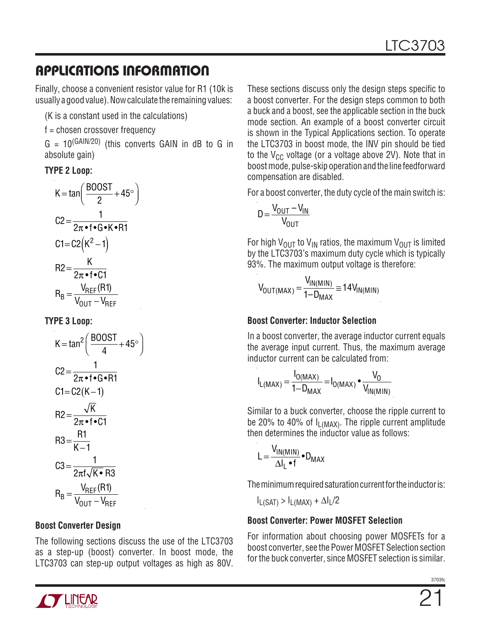Finally, choose a convenient resistor value for R1 (10k is usually a good value). Now calculate the remaining values:

(K is a constant used in the calculations)

f = chosen crossover frequency

 $G = 10^{(GAIN/20)}$  (this converts GAIN in dB to G in absolute gain)

> $\overline{1}$  $\overline{\phantom{a}}$

#### **TYPE 2 Loop:**

$$
K = \tan\left(\frac{BOOST}{2} + 45^{\circ}\right)
$$
  
\n
$$
C2 = \frac{1}{2\pi \cdot 1 \cdot G \cdot K \cdot R1}
$$
  
\n
$$
C1 = C2(K^{2} - 1)
$$
  
\n
$$
R2 = \frac{K}{2\pi \cdot 1 \cdot C1}
$$
  
\n
$$
R_{B} = \frac{V_{REF}(R1)}{V_{OUT} - V_{REF}}
$$

#### **TYPE 3 Loop:**

$$
K = \tan^2\left(\frac{BOOST}{4} + 45^\circ\right)
$$
  
\n
$$
C2 = \frac{1}{2\pi \cdot 6 \cdot 6 \cdot 81}
$$
  
\n
$$
C1 = C2(K-1)
$$
  
\n
$$
R2 = \frac{\sqrt{K}}{2\pi \cdot 6 \cdot 61}
$$
  
\n
$$
R3 = \frac{R1}{K-1}
$$
  
\n
$$
C3 = \frac{1}{2\pi f \sqrt{K \cdot R3}}
$$
  
\n
$$
R_B = \frac{V_{REF}(R1)}{V_{OUT} - V_{REF}}
$$

#### **Boost Converter Design**

The following sections discuss the use of the LTC3703 as a step-up (boost) converter. In boost mode, the LTC3703 can step-up output voltages as high as 80V.

These sections discuss only the design steps specific to a boost converter. For the design steps common to both a buck and a boost, see the applicable section in the buck mode section. An example of a boost converter circuit is shown in the Typical Applications section. To operate the LTC3703 in boost mode, the INV pin should be tied to the  $V_{CC}$  voltage (or a voltage above 2V). Note that in boostmode, pulse-skipoperationandthe line feedforward compensation are disabled.

For a boost converter, the duty cycle of the main switch is:

$$
D = \frac{V_{OUT} - V_{IN}}{V_{OUT}}
$$

For high  $V_{\text{OUT}}$  to  $V_{\text{IN}}$  ratios, the maximum  $V_{\text{OUT}}$  is limited by the LTC3703's maximum duty cycle which is typically 93%. The maximum output voltage is therefore:

$$
V_{OUT(MAX)} = \frac{V_{IN(MIN)}}{1 - D_{MAX}} \approx 14 V_{IN(MIN)}
$$

### **Boost Converter: Inductor Selection**

In a boost converter, the average inductor current equals the average input current. Thus, the maximum average inductor current can be calculated from:

$$
I_{L(MAX)} = \frac{I_{O(MAX)}}{1 - D_{MAX}} = I_{O(MAX)} \cdot \frac{V_0}{V_{IN(MIN)}}
$$

Similar to a buck converter, choose the ripple current to be 20% to 40% of  $I_{L(MAX)}$ . The ripple current amplitude then determines the inductor value as follows:

$$
L = \frac{V_{IN(MIN)}}{\Delta I_L \cdot f} \cdot D_{MAX}
$$

The minimum required saturation current for the inductor is:

 $I_{L(SAT)} > I_{L(MAX)} + \Delta I_{L}/2$ 

#### **Boost Converter: Power MOSFET Selection**

For information about choosing power MOSFETs for a boost converter, see the Power MOSFET Selection section for the buck converter, since MOSFET selection is similar.

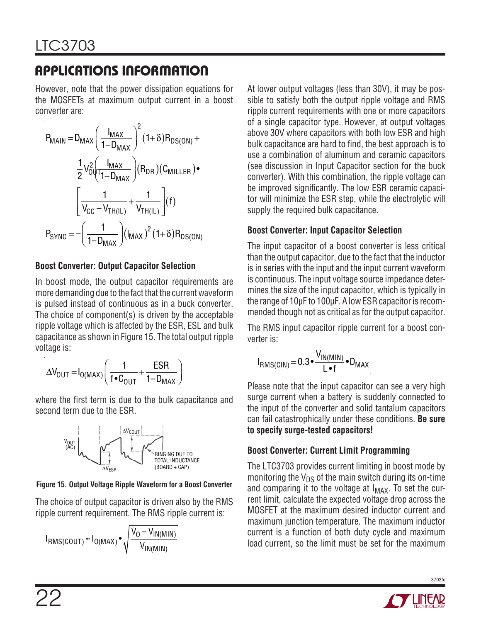However, note that the power dissipation equations for the MOSFETs at maximum output current in a boost converter are:

$$
P_{MAIN} = D_{MAX} \left(\frac{I_{MAX}}{1 - D_{MAX}}\right)^{2} (1 + \delta) R_{DS(ON)} +
$$

$$
\frac{1}{2} V_{O}^{2} \left(\frac{I_{MAX}}{1 - D_{MAX}}\right) (R_{DR}) (C_{MILLER}) \bullet
$$

$$
\left[\frac{1}{V_{CC} - V_{TH(IL)}} + \frac{1}{V_{TH(IL)}}\right] (f)
$$

$$
P_{SYNC} = -\left(\frac{1}{1 - D_{MAX}}\right) (I_{MAX})^{2} (1 + \delta) R_{DS(ON)}
$$

#### **Boost Converter: Output Capacitor Selection**

In boost mode, the output capacitor requirements are more demanding due to the fact that the current waveform is pulsed instead of continuous as in a buck converter. The choice of component(s) is driven by the acceptable ripple voltage which is affected by the ESR, ESL and bulk capacitance as shown in Figure 15. The total output ripple voltage is:

$$
\Delta V_{\text{OUT}} = I_{\text{O}(MAX)} \left( \frac{1}{f \cdot C_{\text{OUT}}} + \frac{ESR}{1 - D_{MAX}} \right)
$$

where the first term is due to the bulk capacitance and second term due to the ESR.



**Figure 15. Output Voltage Ripple Waveform for a Boost Converter**

The choice of output capacitor is driven also by the RMS ripple current requirement. The RMS ripple current is:

$$
I_{RMS(COUT)} \approx I_{O(MAX)} \cdot \sqrt{\frac{V_0 - V_{IN(MIN)}}{V_{IN(MIN)}}}
$$

At lower output voltages (less than 30V), it may be possible to satisfy both the output ripple voltage and RMS ripple current requirements with one or more capacitors of a single capacitor type. However, at output voltages above 30V where capacitors with both low ESR and high bulk capacitance are hard to find, the best approach is to use a combination of aluminum and ceramic capacitors (see discussion in Input Capacitor section for the buck converter). With this combination, the ripple voltage can be improved significantly. The low ESR ceramic capacitor will minimize the ESR step, while the electrolytic will supply the required bulk capacitance.

#### **Boost Converter: Input Capacitor Selection**

The input capacitor of a boost converter is less critical than the output capacitor, due to the fact that the inductor is in series with the input and the input current waveform is continuous. The input voltage source impedance determines the size of the input capacitor, which is typically in the range of 10µF to 100µF. A low ESR capacitor is recommended though not as critical as for the output capacitor.

The RMS input capacitor ripple current for a boost converter is:

$$
I_{RMS(CIN)} = 0.3 \cdot \frac{V_{IN(MIN)}}{L \cdot f} \cdot D_{MAX}
$$

Please note that the input capacitor can see a very high surge current when a battery is suddenly connected to the input of the converter and solid tantalum capacitors can fail catastrophically under these conditions. **Be sure to specify surge-tested capacitors!**

### **Boost Converter: Current Limit Programming**

The LTC3703 provides current limiting in boost mode by monitoring the  $V_{DS}$  of the main switch during its on-time and comparing it to the voltage at  $I_{MAX}$ . To set the current limit, calculate the expected voltage drop across the MOSFET at the maximum desired inductor current and maximum junction temperature. The maximum inductor current is a function of both duty cycle and maximum load current, so the limit must be set for the maximum

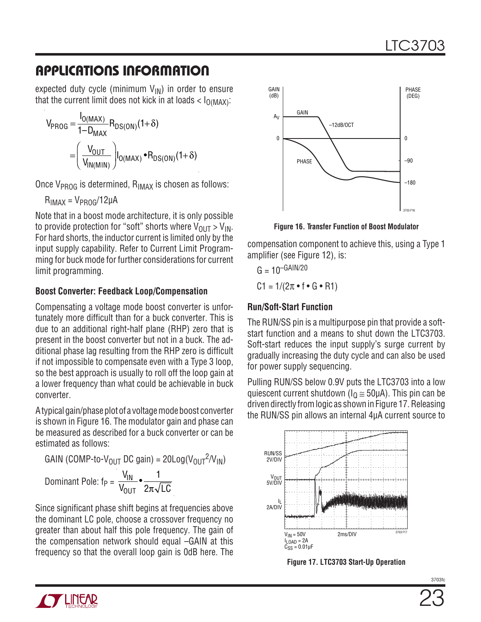expected duty cycle (minimum  $V_{IN}$ ) in order to ensure that the current limit does not kick in at loads  $< I_{O(MAX)}$ :

$$
V_{PROG} = \frac{I_{O(MAX)}}{1 - D_{MAX}} R_{DS(ON)}(1+\delta)
$$

$$
= \left(\frac{V_{OUT}}{V_{IN(MIN)}}\right) I_{O(MAX)} \cdot R_{DS(ON)}(1+\delta)
$$

Once  $V_{PROG}$  is determined,  $R_{IMAX}$  is chosen as follows:

 $R_{IMAX} = V_{PROG}/12\mu A$ 

Note that in a boost mode architecture, it is only possible to provide protection for "soft" shorts where  $V_{OIII} > V_{IN}$ . For hard shorts, the inductor current is limited only by the input supply capability. Refer to Current Limit Programming for buck mode for further considerations for current limit programming.

#### **Boost Converter: Feedback Loop/Compensation**

Compensating a voltage mode boost converter is unfortunately more difficult than for a buck converter. This is due to an additional right-half plane (RHP) zero that is present in the boost converter but not in a buck. The additional phase lag resulting from the RHP zero is difficult if not impossible to compensate even with a Type 3 loop, so the best approach is usually to roll off the loop gain at a lower frequency than what could be achievable in buck converter.

A typical gain/phase plot of a voltage mode boost converter is shown in Figure 16. The modulator gain and phase can be measured as described for a buck converter or can be estimated as follows:

GAIN (COMP-to-V<sub>OUT</sub> DC gain) =  $20 \text{Log}(V_{OUT}^2/V_{IN})$ Dominant Pole: f $_{\text{P}}$  =  $\mathsf{V}_{\mathsf{IN}}$  $\rm V_{\rm OUT}$  $\cdot \frac{1}{2}$ 2π $\sqrt$ LC

Since significant phase shift begins at frequencies above the dominant LC pole, choose a crossover frequency no greater than about half this pole frequency. The gain of the compensation network should equal –GAIN at this frequency so that the overall loop gain is 0dB here. The



**Figure 16. Transfer Function of Boost Modulator**

compensation component to achieve this, using a Type 1 amplifier (see Figure 12), is:

$$
G = 10^{-GAIN/20}
$$

$$
C1 = 1/(2\pi \cdot f \cdot G \cdot R1)
$$

### **Run/Soft-Start Function**

The RUN/SS pin is a multipurpose pin that provide a softstart function and a means to shut down the LTC3703. Soft-start reduces the input supply's surge current by gradually increasing the duty cycle and can also be used for power supply sequencing.

Pulling RUN/SS below 0.9V puts the LTC3703 into a low quiescent current shutdown ( $I_0 \approx 50 \mu A$ ). This pin can be driven directly from logic as shown in Figure 17. Releasing the RUN/SS pin allows an internal 4µA current source to



**Figure 17. LTC3703 Start-Up Operation**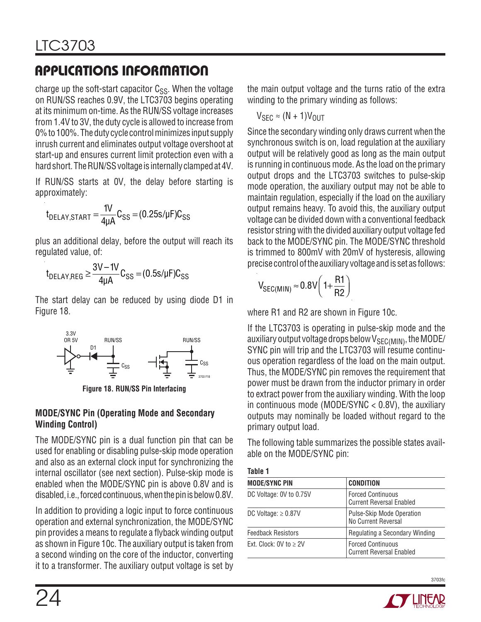charge up the soft-start capacitor  $C_{SS}$ . When the voltage on RUN/SS reaches 0.9V, the LTC3703 begins operating at its minimum on-time. As the RUN/SS voltage increases from 1.4V to 3V, the duty cycle is allowed to increase from 0% to 100%. Theduty cycle controlminimizes input supply inrush current and eliminates output voltage overshoot at start-up and ensures current limit protection even with a hard short. The RUN/SS voltage is internally clamped at 4V.

If RUN/SS starts at 0V, the delay before starting is approximately:

$$
t_{\text{DELAY}, \text{START}} = \frac{1V}{4\mu A} C_{SS} = (0.25s/\mu F) C_{SS}
$$

plus an additional delay, before the output will reach its regulated value, of:

$$
t_{\text{DELAY,REG}}\geq \frac{3V-1V}{4\mu A}C_{SS}=(0.5s/\mu F)C_{SS}
$$

The start delay can be reduced by using diode D1 in Figure 18.





#### **MODE/SYNC Pin (Operating Mode and Secondary Winding Control)**

The MODE/SYNC pin is a dual function pin that can be used for enabling or disabling pulse-skip mode operation and also as an external clock input for synchronizing the internal oscillator (see next section). Pulse-skip mode is enabled when the MODE/SYNC pin is above 0.8V and is disabled, i.e., forced continuous, when the pin is below 0.8V.

In addition to providing a logic input to force continuous operation and external synchronization, the MODE/SYNC pin provides a means to regulate a flyback winding output as shown in Figure 10c. The auxiliary output is taken from a second winding on the core of the inductor, converting it to a transformer. The auxiliary output voltage is set by

$$
V_{\text{SEC}} \approx (N + 1)V_{\text{OUT}}
$$

Since the secondary winding only draws current when the synchronous switch is on, load regulation at the auxiliary output will be relatively good as long as the main output is running in continuous mode. As the load on the primary output drops and the LTC3703 switches to pulse-skip mode operation, the auxiliary output may not be able to maintain regulation, especially if the load on the auxiliary output remains heavy. To avoid this, the auxiliary output voltage can be divided down with a conventional feedback resistor stringwith the divided auxiliary output voltage fed back to the MODE/SYNC pin. The MODE/SYNC threshold is trimmed to 800mV with 20mV of hysteresis, allowing precise control of the auxiliary voltage and is set as follows:

$$
V_{SEC(MIN)} \approx 0.8V \left(1 + \frac{R1}{R2}\right)
$$

where R1 and R2 are shown in Figure 10c.

If the LTC3703 is operating in pulse-skip mode and the auxiliary output voltage drops below  $V_{\text{SEC(MIN)}}$ , the MODE/ SYNC pin will trip and the LTC3703 will resume continuous operation regardless of the load on the main output. Thus, the MODE/SYNC pin removes the requirement that power must be drawn from the inductor primary in order to extract power from the auxiliary winding. With the loop in continuous mode (MODE/SYNC < 0.8V), the auxiliary outputs may nominally be loaded without regard to the primary output load.

The following table summarizes the possible states available on the MODE/SYNC pin:

| 14 J I G I                    |                                                             |  |  |
|-------------------------------|-------------------------------------------------------------|--|--|
| <b>MODE/SYNC PIN</b>          | <b>CONDITION</b>                                            |  |  |
| DC Voltage: 0V to 0.75V       | <b>Forced Continuous</b><br><b>Current Reversal Enabled</b> |  |  |
| DC Voltage: $\geq 0.87V$      | Pulse-Skip Mode Operation<br>No Current Reversal            |  |  |
| <b>Feedback Resistors</b>     | Regulating a Secondary Winding                              |  |  |
| Ext. Clock: $0V$ to $\geq 2V$ | <b>Forced Continuous</b><br><b>Current Reversal Enabled</b> |  |  |

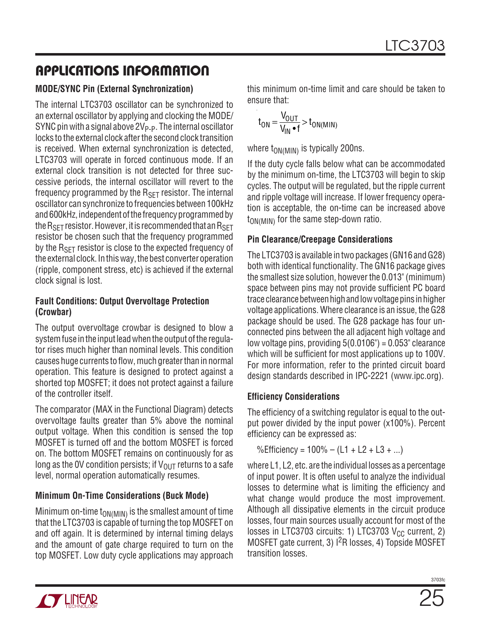### **MODE/SYNC Pin (External Synchronization)**

The internal LTC3703 oscillator can be synchronized to an external oscillator by applying and clocking the MODE/ SYNC pin with a signal above 2V<sub>P-P</sub>. The internal oscillator locks to the external clock after the second clock transition is received. When external synchronization is detected, LTC3703 will operate in forced continuous mode. If an external clock transition is not detected for three successive periods, the internal oscillator will revert to the frequency programmed by the  $R_{SFT}$  resistor. The internal oscillator can synchronize to frequencies between 100kHz and 600kHz, independent of the frequency programmed by the  $R_{\text{SET}}$  resistor. However, it is recommended that an  $R_{\text{SET}}$ resistor be chosen such that the frequency programmed by the  $R_{\text{SFT}}$  resistor is close to the expected frequency of the external clock. In this way, the best converter operation (ripple, component stress, etc) is achieved if the external clock signal is lost.

#### **Fault Conditions: Output Overvoltage Protection (Crowbar)**

The output overvoltage crowbar is designed to blow a system fuse in the input lead when the output of the regulator rises much higher than nominal levels. This condition causes huge currents to flow, much greater than in normal operation. This feature is designed to protect against a shorted top MOSFET; it does not protect against a failure of the controller itself.

The comparator (MAX in the Functional Diagram) detects overvoltage faults greater than 5% above the nominal output voltage. When this condition is sensed the top MOSFET is turned off and the bottom MOSFET is forced on. The bottom MOSFET remains on continuously for as long as the OV condition persists; if  $V_{OIIT}$  returns to a safe level, normal operation automatically resumes.

#### **Minimum On-Time Considerations (Buck Mode)**

Minimum on-time  $t_{ON(MIN)}$  is the smallest amount of time that the LTC3703 is capable of turning the top MOSFET on and off again. It is determined by internal timing delays and the amount of gate charge required to turn on the top MOSFET. Low duty cycle applications may approach this minimum on-time limit and care should be taken to ensure that:

$$
t_{ON} = \frac{V_{OUT}}{V_{IN} \cdot f} > t_{ON(MIN)}
$$

where  $t_{ON(MIN)}$  is typically 200ns.

If the duty cycle falls below what can be accommodated by the minimum on-time, the LTC3703 will begin to skip cycles. The output will be regulated, but the ripple current and ripple voltage will increase. If lower frequency operation is acceptable, the on-time can be increased above  $t_{ON(MIN)}$  for the same step-down ratio.

#### **Pin Clearance/Creepage Considerations**

The LTC3703 is available in two packages (GN16 and G28) both with identical functionality. The GN16 package gives the smallest size solution, however the 0.013" (minimum) space between pins may not provide sufficient PC board trace clearance between high and low voltage pins in higher voltage applications. Where clearance is an issue, the G28 package should be used. The G28 package has four unconnected pins between the all adjacent high voltage and low voltage pins, providing  $5(0.0106") = 0.053"$  clearance which will be sufficient for most applications up to 100V. For more information, refer to the printed circuit board design standards described in IPC-2221 (www.ipc.org).

#### **Efficiency Considerations**

The efficiency of a switching regulator is equal to the output power divided by the input power (x100%). Percent efficiency can be expressed as:

%Efficiency =  $100\% - (L1 + L2 + L3 + ...)$ 

where L1, L2, etc. are the individual losses as a percentage of input power. It is often useful to analyze the individual losses to determine what is limiting the efficiency and what change would produce the most improvement. Although all dissipative elements in the circuit produce losses, four main sources usually account for most of the losses in LTC3703 circuits: 1) LTC3703  $V_{CC}$  current, 2) MOSFET gate current, 3) <sup>2</sup>R losses, 4) Topside MOSFET transition losses.

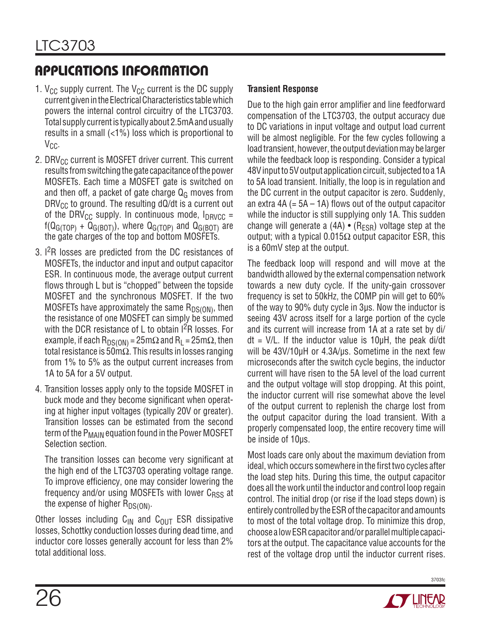- 1.  $V_{CC}$  supply current. The  $V_{CC}$  current is the DC supply current given in the Electrical Characteristics table which powers the internal control circuitry of the LTC3703. Total supply currentis typically about 2.5mAandusually results in a small (<1%) loss which is proportional to  $V_{C.C.}$
- 2. DRV $_{\rm CC}$  current is MOSFET driver current. This current results from switching the gate capacitance of the power MOSFETs. Each time a MOSFET gate is switched on and then off, a packet of gate charge  $\mathbb{Q}_G$  moves from  $DRV_{CC}$  to ground. The resulting dQ/dt is a current out of the DRV<sub>CC</sub> supply. In continuous mode,  $I_{DRVCC}$  =  $f(Q_{G(TOP)} + Q_{G(BOT)})$ , where  $Q_{G(TOP)}$  and  $Q_{G(BOT)}$  are the gate charges of the top and bottom MOSFETs.
- 3. I<sup>2</sup>R losses are predicted from the DC resistances of MOSFETs, the inductor and input and output capacitor ESR. In continuous mode, the average output current flows through L but is "chopped" between the topside MOSFET and the synchronous MOSFET. If the two MOSFETs have approximately the same  $R_{DS(ON)}$ , then the resistance of one MOSFET can simply be summed with the DCR resistance of L to obtain  $I^2R$  losses. For example, if each R<sub>DS(ON)</sub> =  $25 \text{m}\Omega$  and R<sub>L</sub> =  $25 \text{m}\Omega$ , then total resistance is  $50 \text{m}\Omega$ . This results in losses ranging from 1% to 5% as the output current increases from 1A to 5A for a 5V output.
- 4. Transition losses apply only to the topside MOSFET in buck mode and they become significant when operating at higher input voltages (typically 20V or greater). Transition losses can be estimated from the second term of the P<sub>MAIN</sub> equation found in the Power MOSFET Selection section.

The transition losses can become very significant at the high end of the LTC3703 operating voltage range. To improve efficiency, one may consider lowering the frequency and/or using MOSFETs with lower  $C<sub>RSS</sub>$  at the expense of higher  $R_{DS(ON)}$ .

Other losses including  $C_{IN}$  and  $C_{OUT}$  ESR dissipative losses, Schottky conduction losses during dead time, and inductor core losses generally account for less than 2% total additional loss.

### **Transient Response**

Due to the high gain error amplifier and line feedforward compensation of the LTC3703, the output accuracy due to DC variations in input voltage and output load current will be almost negligible. For the few cycles following a load transient, however, the output deviation may be larger while the feedback loop is responding. Consider a typical 48V input to 5V output application circuit, subjected to a 1A to 5A load transient. Initially, the loop is in regulation and the DC current in the output capacitor is zero. Suddenly, an extra  $4A (= 5A - 1A)$  flows out of the output capacitor while the inductor is still supplying only 1A. This sudden change will generate a  $(4A) \cdot (R_{FSR})$  voltage step at the output; with a typical 0.015Ω output capacitor ESR, this is a 60mV step at the output.

The feedback loop will respond and will move at the bandwidth allowed by the external compensation network towards a new duty cycle. If the unity-gain crossover frequency is set to 50kHz, the COMP pin will get to 60% of the way to 90% duty cycle in 3µs. Now the inductor is seeing 43V across itself for a large portion of the cycle and its current will increase from 1A at a rate set by di/  $dt = V/L$ . If the inductor value is 10 $\mu$ H, the peak di/dt will be 43V/10µH or 4.3A/µs. Sometime in the next few microseconds after the switch cycle begins, the inductor current will have risen to the 5A level of the load current and the output voltage will stop dropping. At this point, the inductor current will rise somewhat above the level of the output current to replenish the charge lost from the output capacitor during the load transient. With a properly compensated loop, the entire recovery time will be inside of 10µs.

Most loads care only about the maximum deviation from ideal, which occurs somewhere in the first two cycles after the load step hits. During this time, the output capacitor does all the work until the inductor and control loop regain control. The initial drop (or rise if the load steps down) is entirely controlled by the ESR of the capacitor and amounts to most of the total voltage drop. To minimize this drop, choose a lowESRcapacitor and/orparallelmultiple capacitors at the output. The capacitance value accounts for the rest of the voltage drop until the inductor current rises.

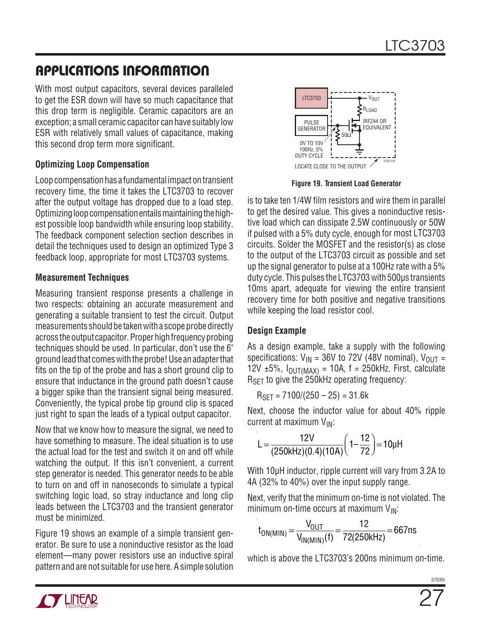With most output capacitors, several devices paralleled to get the ESR down will have so much capacitance that this drop term is negligible. Ceramic capacitors are an exception; a small ceramic capacitor can have suitably low ESR with relatively small values of capacitance, making this second drop term more significant.

#### **Optimizing Loop Compensation**

Loop compensation has a fundamental impact on transient recovery time, the time it takes the LTC3703 to recover after the output voltage has dropped due to a load step. Optimizing loop compensation entails maintaining the highest possible loop bandwidth while ensuring loop stability. The feedback component selection section describes in detail the techniques used to design an optimized Type 3 feedback loop, appropriate for most LTC3703 systems.

#### **Measurement Techniques**

Measuring transient response presents a challenge in two respects: obtaining an accurate measurement and generating a suitable transient to test the circuit. Output measurements should be taken with a scope probe directly across the output capacitor. Proper high frequency probing techniques should be used. In particular, don't use the 6" groundleadthat comeswiththeprobe! Use anadapterthat fits on the tip of the probe and has a short ground clip to ensure that inductance in the ground path doesn't cause a bigger spike than the transient signal being measured. Conveniently, the typical probe tip ground clip is spaced just right to span the leads of a typical output capacitor.

Now that we know how to measure the signal, we need to have something to measure. The ideal situation is to use the actual load for the test and switch it on and off while watching the output. If this isn't convenient, a current step generator is needed. This generator needs to be able to turn on and off in nanoseconds to simulate a typical switching logic load, so stray inductance and long clip leads between the LTC3703 and the transient generator must be minimized.

Figure 19 shows an example of a simple transient generator. Be sure to use a noninductive resistor as the load element—many power resistors use an inductive spiral pattern and are not suitable for use here. A simple solution



**Figure 19. Transient Load Generator**

is to take ten 1/4W film resistors and wire them in parallel to get the desired value. This gives a noninductive resistive load which can dissipate 2.5W continuously or 50W if pulsed with a 5% duty cycle, enough for most LTC3703 circuits. Solder the MOSFET and the resistor(s) as close to the output of the LTC3703 circuit as possible and set up the signal generator to pulse at a 100Hz rate with a 5% duty cycle. This pulses the LTC3703 with 500µs transients 10ms apart, adequate for viewing the entire transient recovery time for both positive and negative transitions while keeping the load resistor cool.

#### **Design Example**

As a design example, take a supply with the following specifications:  $V_{IN}$  = 36V to 72V (48V nominal),  $V_{OIII}$  = 12V  $\pm 5\%$ ,  $I_{OUT(MAX)} = 10A$ , f = 250kHz. First, calculate  $R_{\text{SFT}}$  to give the 250kHz operating frequency:

 $R_{\text{SFT}} = 7100/(250 - 25) = 31.6k$ 

Next, choose the inductor value for about 40% ripple current at maximum  $V_{IN}$ :

$$
L = \frac{12V}{(250kHz)(0.4)(10A)} \left(1 - \frac{12}{72}\right) = 10\mu H
$$

With 10µH inductor, ripple current will vary from 3.2A to 4A (32% to 40%) over the input supply range.

Next, verify that the minimum on-time is not violated. The minimum on-time occurs at maximum  $V_{IN}$ :

$$
t_{ON(MIN)} = \frac{V_{OUT}}{V_{IN(MIN)}(f)} = \frac{12}{72(250kHz)} = 667ns
$$

which is above the LTC3703's 200ns minimum on-time.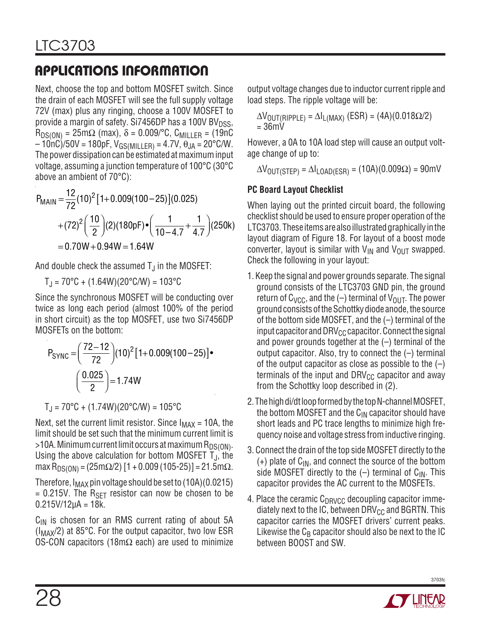Next, choose the top and bottom MOSFET switch. Since the drain of each MOSFET will see the full supply voltage 72V (max) plus any ringing, choose a 100V MOSFET to provide a margin of safety. Si7456DP has a 100V BV $_{\text{DSS}}$ ,  $R_{DS(ON)} = 25 \text{m}\Omega$  (max), δ = 0.009/°C, C<sub>MILLER</sub> = (19nC  $-10nC$ )/50V = 180pF, V<sub>GS(MILLER)</sub> = 4.7V,  $\theta_{JA}$  = 20°C/W. The power dissipation can be estimated at maximum input voltage, assuming a junction temperature of 100°C (30°C above an ambient of 70°C):

$$
P_{\text{MAIN}} = \frac{12}{72}(10)^2 [1 + 0.009(100 - 25)](0.025)
$$
  
+  $(72)^2 \left(\frac{10}{2}\right)(2)(180pF) \cdot \left(\frac{1}{10 - 4.7} + \frac{1}{4.7}\right)(250k)$   
= 0.70W + 0.94W = 1.64W

And double check the assumed  $T_J$  in the MOSFET:

 $T_{\rm J}$  = 70°C + (1.64W)(20°C/W) = 103°C

Since the synchronous MOSFET will be conducting over twice as long each period (almost 100% of the period in short circuit) as the top MOSFET, use two Si7456DP MOSFETs on the bottom:

$$
P_{SYNC} = \left(\frac{72 - 12}{72}\right) (10)^2 [1 + 0.009(100 - 25)] \bullet
$$

$$
\left(\frac{0.025}{2}\right) = 1.74 \text{W}
$$

 $T_J = 70^{\circ}C + (1.74W)(20^{\circ}C/W) = 105^{\circ}C$ 

Next, set the current limit resistor. Since  $I_{MAX} = 10A$ , the limit should be set such that the minimum current limit is  $>$ 10A. Minimum current limit occurs at maximum R $_{\text{DS}(\text{ON})}$ . Using the above calculation for bottom MOSFET  $T_{\rm J}$ , the max R<sub>DS(ON)</sub> = (25mΩ/2) [1 + 0.009 (105-25)] = 21.5mΩ.

Therefore,  $I_{MAX}$  pin voltage should be set to (10A)(0.0215)  $= 0.215V$ . The R<sub>SFT</sub> resistor can now be chosen to be  $0.215V/12\mu A = 18k$ .

 $C_{\text{IN}}$  is chosen for an RMS current rating of about 5A  $(I_{MAX}/2)$  at 85°C. For the output capacitor, two low ESR OS-CON capacitors (18m $\Omega$  each) are used to minimize output voltage changes due to inductor current ripple and load steps. The ripple voltage will be:

$$
\Delta V_{\text{OUT(RIPPLE)}} = \Delta I_{L(MAX)} (ESR) = (4A)(0.018 \Omega/2)
$$
  
= 36mV

However, a 0A to 10A load step will cause an output voltage change of up to:

 $\Delta V_{\text{OUT(STEP)}} = \Delta I_{\text{LOAD(ESR)}} = (10 \text{A})(0.009 \Omega) = 90 \text{mV}$ 

#### **PC Board Layout Checklist**

When laying out the printed circuit board, the following checklist should be used to ensure proper operation of the LTC3703. These items are also illustrated graphically in the layout diagram of Figure 18. For layout of a boost mode converter, layout is similar with  $V_{IN}$  and  $V_{OUT}$  swapped. Check the following in your layout:

- 1. Keep the signal and power grounds separate. The signal ground consists of the LTC3703 GND pin, the ground return of  $C_{VCC}$ , and the (-) terminal of  $V_{OUT}$ . The power ground consists of the Schottky diode anode, the source of the bottom side MOSFET, and the (–) terminal of the input capacitor and DRV $_{CC}$  capacitor. Connect the signal and power grounds together at the  $(-)$  terminal of the output capacitor. Also, try to connect the  $(-)$  terminal of the output capacitor as close as possible to the  $(-)$ terminals of the input and  $DRV_{CC}$  capacitor and away from the Schottky loop described in (2).
- 2. The high di/dt loop formed by the top N-channel MOSFET, the bottom MOSFET and the  $C_{IN}$  capacitor should have short leads and PC trace lengths to minimize high frequency noise and voltage stress from inductive ringing.
- 3. Connect the drain of the top side MOSFET directly to the  $(+)$  plate of  $C_{IN}$ , and connect the source of the bottom side MOSFET directly to the  $(-)$  terminal of C<sub>IN</sub>. This capacitor provides the AC current to the MOSFETs.
- 4. Place the ceramic  $C_{DRVCC}$  decoupling capacitor immediately next to the IC, between  $DRV_{CC}$  and BGRTN. This capacitor carries the MOSFET drivers' current peaks. Likewise the  $C_B$  capacitor should also be next to the IC between BOOST and SW.

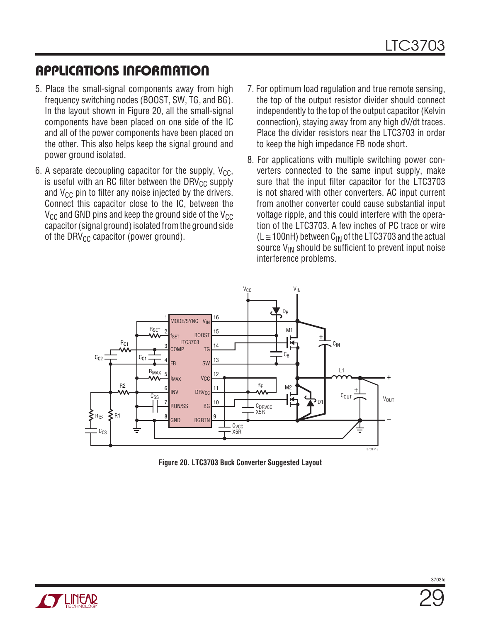- 5. Place the small-signal components away from high frequency switching nodes (BOOST, SW, TG, and BG). In the layout shown in Figure 20, all the small-signal components have been placed on one side of the IC and all of the power components have been placed on the other. This also helps keep the signal ground and power ground isolated.
- 6. A separate decoupling capacitor for the supply,  $V_{CC}$ , is useful with an RC filter between the DRV $_{\rm CC}$  supply and  $V_{CC}$  pin to filter any noise injected by the drivers. Connect this capacitor close to the IC, between the  $V_{\text{CC}}$  and GND pins and keep the ground side of the  $V_{\text{CC}}$ capacitor (signal ground) isolated from the ground side of the DRV $_{\text{CC}}$  capacitor (power ground).
- 7. For optimum load regulation and true remote sensing, the top of the output resistor divider should connect independently to the top of the output capacitor (Kelvin connection), staying away from any high dV/dt traces. Place the divider resistors near the LTC3703 in order to keep the high impedance FB node short.
- 8. For applications with multiple switching power converters connected to the same input supply, make sure that the input filter capacitor for the LTC3703 is not shared with other converters. AC input current from another converter could cause substantial input voltage ripple, and this could interfere with the operation of the LTC3703. A few inches of PC trace or wire (L  $\cong$  100nH) between C<sub>IN</sub> of the LTC3703 and the actual source  $V_{IN}$  should be sufficient to prevent input noise interference problems.



**Figure 20. LTC3703 Buck Converter Suggested Layout**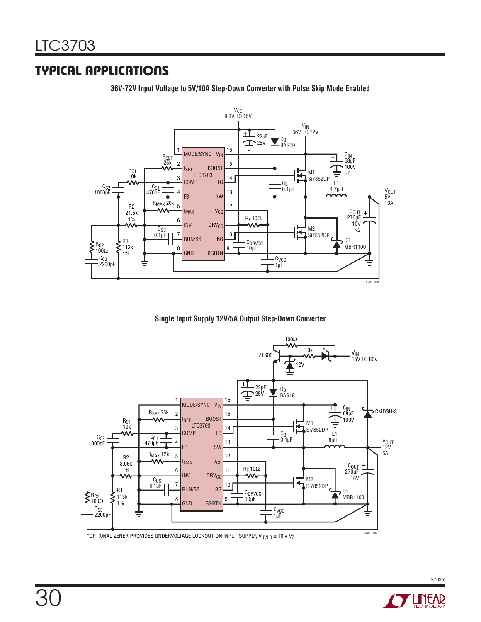### Typical Applications



**36V-72V Input Voltage to 5V/10A Step-Down Converter with Pulse Skip Mode Enabled**

**Single Input Supply 12V/5A Output Step-Down Converter**



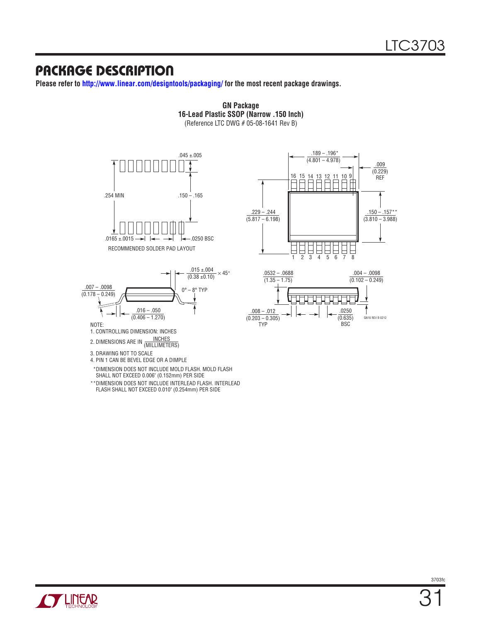### Package Description

**Please refer to http://www.linear.com/designtools/packaging/ for the most recent package drawings.**

**GN Package 16-Lead Plastic SSOP (Narrow .150 Inch) GN Package**



3. DRAWING NOT TO SCALE

4. PIN 1 CAN BE BEVEL EDGE OR A DIMPLE

 \* DIMENSION DOES NOT INCLUDE MOLD FLASH. MOLD FLASH SHALL NOT EXCEED 0.006" (0.152mm) PER SIDE

\*\* DIMENSION DOES NOT INCLUDE INTERLEAD FLASH. INTERLEAD FLASH SHALL NOT EXCEED 0.010" (0.254mm) PER SIDE





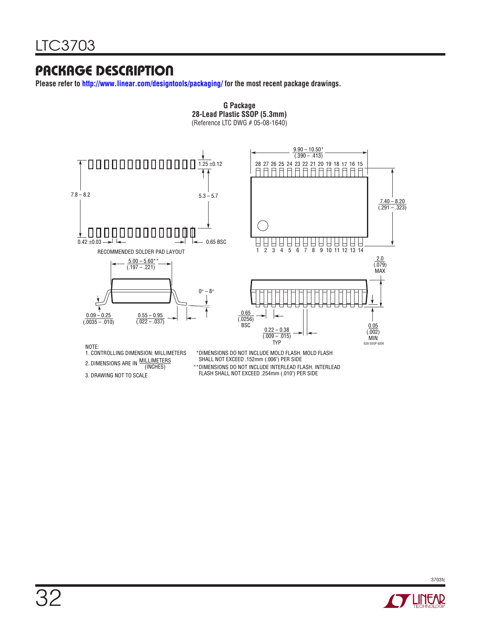### Package Description

**Please refer to http://www.linear.com/designtools/packaging/ for the most recent package drawings.**



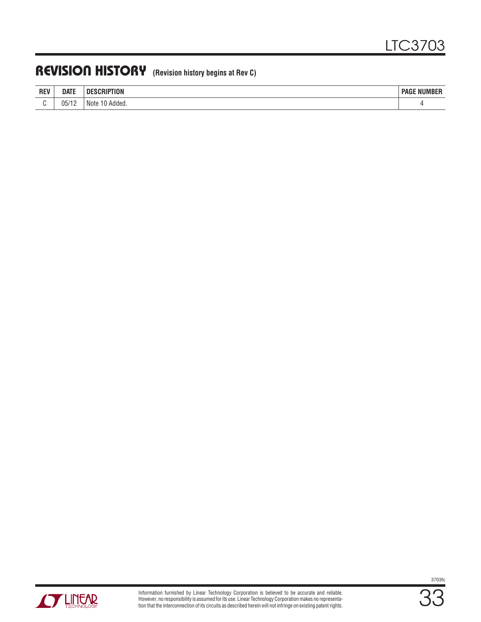### REVISION HISTORY (Revision history begins at Rev C)

| <b>REV</b> | <b>DATE</b> | <b>ABINTIAL</b><br>ПF<br>HUN<br>$-$ | : NUMBER<br><b>PAGF</b> |
|------------|-------------|-------------------------------------|-------------------------|
|            | 05/12<br>.  | Note<br><sup>n</sup> Added.         |                         |